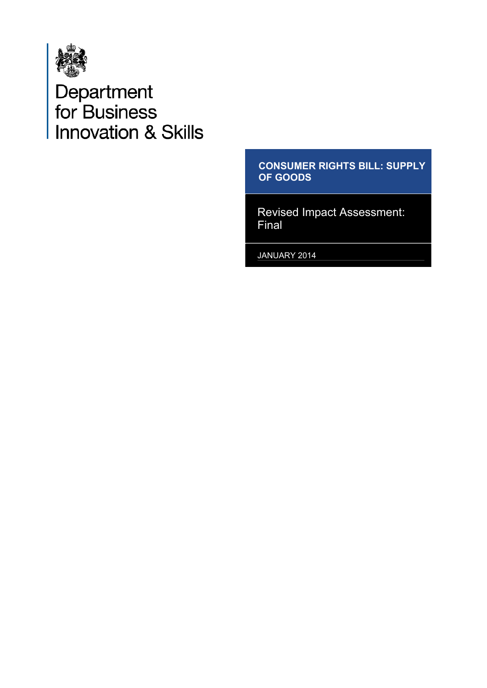

# Department<br>for Business<br>Innovation & Skills

#### **CONSUMER RIGHTS BILL: SUPPLY OF GOODS**

Revised Impact Assessment: Final

JANUARY 2014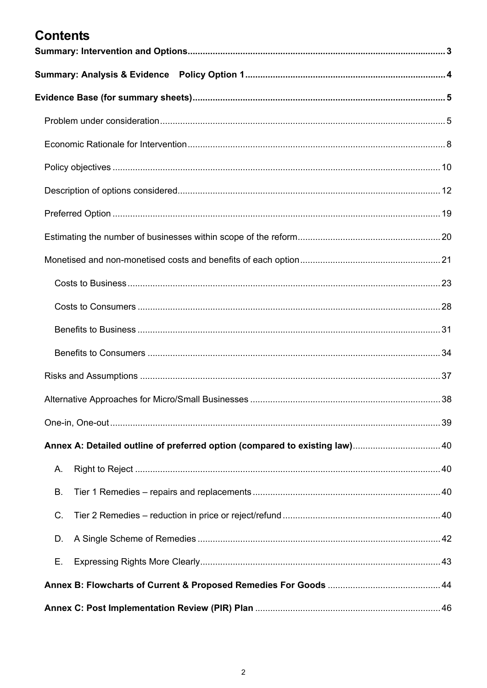# **Contents**

<span id="page-1-0"></span>

| Α.        |  |
|-----------|--|
| <b>B.</b> |  |
| C.        |  |
| D.        |  |
| Е.        |  |
|           |  |
|           |  |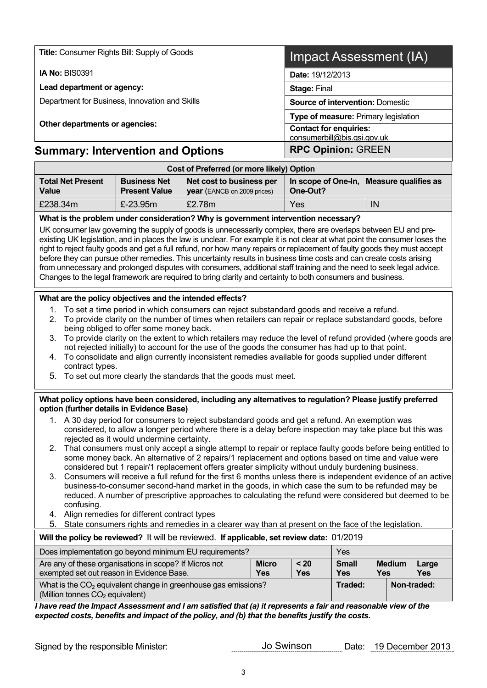| <b>Title: Consumer Rights Bill: Supply of Goods</b> | Impact Assessment (IA)                                       |  |  |  |  |  |
|-----------------------------------------------------|--------------------------------------------------------------|--|--|--|--|--|
| <b>IA No: BIS0391</b>                               | Date: 19/12/2013                                             |  |  |  |  |  |
| Lead department or agency:                          | <b>Stage: Final</b>                                          |  |  |  |  |  |
| Department for Business, Innovation and Skills      | <b>Source of intervention: Domestic</b>                      |  |  |  |  |  |
|                                                     | Type of measure: Primary legislation                         |  |  |  |  |  |
| Other departments or agencies:                      | <b>Contact for enquiries:</b><br>consumerbill@bis.gsi.gov.uk |  |  |  |  |  |
| <b>Summary: Intervention and Options</b>            | <b>RPC Opinion: GREEN</b>                                    |  |  |  |  |  |
| Cost of Preferred (or more likely) Option           |                                                              |  |  |  |  |  |

<span id="page-2-0"></span>

| Cost of Preferred (or more likely) Option |                                             |                                                                |                                                         |    |  |  |  |  |  |
|-------------------------------------------|---------------------------------------------|----------------------------------------------------------------|---------------------------------------------------------|----|--|--|--|--|--|
| <b>Total Net Present</b><br><b>Value</b>  | <b>Business Net</b><br><b>Present Value</b> | Net cost to business per<br><b>year</b> (EANCB on 2009 prices) | In scope of One-In,<br>Measure qualifies as<br>One-Out? |    |  |  |  |  |  |
| £238.34m                                  | £ $-23.95m$                                 | £2.78m                                                         | Yes                                                     | IN |  |  |  |  |  |

**What is the problem under consideration? Why is government intervention necessary?** 

UK consumer law governing the supply of goods is unnecessarily complex, there are overlaps between EU and preexisting UK legislation, and in places the law is unclear. For example it is not clear at what point the consumer loses the right to reject faulty goods and get a full refund, nor how many repairs or replacement of faulty goods they must accept before they can pursue other remedies. This uncertainty results in business time costs and can create costs arising from unnecessary and prolonged disputes with consumers, additional staff training and the need to seek legal advice. Changes to the legal framework are required to bring clarity and certainty to both consumers and business.

#### **What are the policy objectives and the intended effects?**

- 1. To set a time period in which consumers can reject substandard goods and receive a refund.
- 2. To provide clarity on the number of times when retailers can repair or replace substandard goods, before being obliged to offer some money back.
- 3. To provide clarity on the extent to which retailers may reduce the level of refund provided (where goods are not rejected initially) to account for the use of the goods the consumer has had up to that point.
- 4. To consolidate and align currently inconsistent remedies available for goods supplied under different contract types.
- 5. To set out more clearly the standards that the goods must meet.

#### **What policy options have been considered, including any alternatives to regulation? Please justify preferred option (further details in Evidence Base)**

- 1. A 30 day period for consumers to reject substandard goods and get a refund. An exemption was considered, to allow a longer period where there is a delay before inspection may take place but this was rejected as it would undermine certainty.
- 2. That consumers must only accept a single attempt to repair or replace faulty goods before being entitled to some money back. An alternative of 2 repairs/1 replacement and options based on time and value were considered but 1 repair/1 replacement offers greater simplicity without unduly burdening business.
- 3. Consumers will receive a full refund for the first 6 months unless there is independent evidence of an active business-to-consumer second-hand market in the goods, in which case the sum to be refunded may be reduced. A number of prescriptive approaches to calculating the refund were considered but deemed to be confusing.
- 4. Align remedies for different contract types
- 5. State consumers rights and remedies in a clearer way than at present on the face of the legislation.

#### **Will the policy be reviewed?** It will be reviewed. **If applicable, set review date:** 01/2019

| Does implementation go beyond minimum EU requirements?<br>Yes                                                   |                                                                           |  |             |  |  |  |  |
|-----------------------------------------------------------------------------------------------------------------|---------------------------------------------------------------------------|--|-------------|--|--|--|--|
| Are any of these organisations in scope? If Micros not<br>exempted set out reason in Evidence Base.             | <b>Small</b><br><b>Medium</b><br>Large<br><b>Yes</b><br><b>Yes</b><br>Yes |  |             |  |  |  |  |
| What is the $CO2$ equivalent change in greenhouse gas emissions?<br>(Million tonnes CO <sub>2</sub> equivalent) | Traded:                                                                   |  | Non-traded: |  |  |  |  |

*I have read the Impact Assessment and I am satisfied that (a) it represents a fair and reasonable view of the expected costs, benefits and impact of the policy, and (b) that the benefits justify the costs.* 

| Signed by the responsible Minister: |
|-------------------------------------|
|-------------------------------------|

Jo Swinson Date: 19 December 2013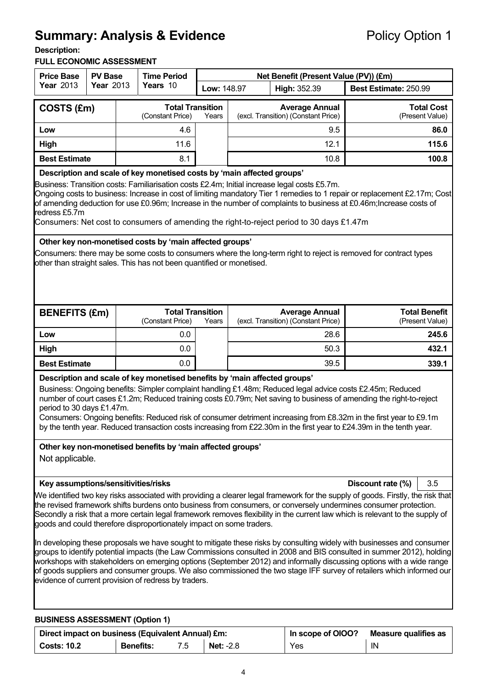# <span id="page-3-0"></span>**Summary: Analysis & Evidence Policy Option 1**

#### **Description:**

#### **FULL ECONOMIC ASSESSMENT**

| <b>Price Base</b>                                                                                                                                                                                                                                                                                                                                                                                                                                                                                                                                                                                   | <b>Time Period</b><br><b>PV Base</b><br>Net Benefit (Present Value (PV)) (£m) |                  |                                                                                                                                         |                  |  |                                                                                                           |                       |                                                                                                                                                                                                                                                                                                                                                                 |
|-----------------------------------------------------------------------------------------------------------------------------------------------------------------------------------------------------------------------------------------------------------------------------------------------------------------------------------------------------------------------------------------------------------------------------------------------------------------------------------------------------------------------------------------------------------------------------------------------------|-------------------------------------------------------------------------------|------------------|-----------------------------------------------------------------------------------------------------------------------------------------|------------------|--|-----------------------------------------------------------------------------------------------------------|-----------------------|-----------------------------------------------------------------------------------------------------------------------------------------------------------------------------------------------------------------------------------------------------------------------------------------------------------------------------------------------------------------|
| <b>Year 2013</b>                                                                                                                                                                                                                                                                                                                                                                                                                                                                                                                                                                                    | <b>Year 2013</b>                                                              |                  | Years 10                                                                                                                                | Low: 148.97      |  | High: 352.39                                                                                              | Best Estimate: 250.99 |                                                                                                                                                                                                                                                                                                                                                                 |
| COSTS (£m)                                                                                                                                                                                                                                                                                                                                                                                                                                                                                                                                                                                          |                                                                               |                  | <b>Total Transition</b><br>(Constant Price)                                                                                             | Years            |  | <b>Average Annual</b><br>(excl. Transition) (Constant Price)                                              |                       | <b>Total Cost</b><br>(Present Value)                                                                                                                                                                                                                                                                                                                            |
| Low                                                                                                                                                                                                                                                                                                                                                                                                                                                                                                                                                                                                 |                                                                               |                  | 4.6                                                                                                                                     |                  |  | 9.5                                                                                                       |                       | 86.0                                                                                                                                                                                                                                                                                                                                                            |
| High                                                                                                                                                                                                                                                                                                                                                                                                                                                                                                                                                                                                |                                                                               |                  | 11.6                                                                                                                                    |                  |  | 12.1                                                                                                      |                       | 115.6                                                                                                                                                                                                                                                                                                                                                           |
| <b>Best Estimate</b>                                                                                                                                                                                                                                                                                                                                                                                                                                                                                                                                                                                |                                                                               |                  | 8.1                                                                                                                                     |                  |  | 10.8                                                                                                      |                       | 100.8                                                                                                                                                                                                                                                                                                                                                           |
| Description and scale of key monetised costs by 'main affected groups'<br>Business: Transition costs: Familiarisation costs £2.4m; Initial increase legal costs £5.7m.<br>Ongoing costs to business: Increase in cost of limiting mandatory Tier 1 remedies to 1 repair or replacement £2.17m; Cost<br>of amending deduction for use £0.96m; Increase in the number of complaints to business at £0.46m; Increase costs of<br>redress £5.7m<br>Consumers: Net cost to consumers of amending the right-to-reject period to 30 days £1.47m<br>Other key non-monetised costs by 'main affected groups' |                                                                               |                  |                                                                                                                                         |                  |  |                                                                                                           |                       |                                                                                                                                                                                                                                                                                                                                                                 |
|                                                                                                                                                                                                                                                                                                                                                                                                                                                                                                                                                                                                     |                                                                               |                  | other than straight sales. This has not been quantified or monetised.                                                                   |                  |  |                                                                                                           |                       | Consumers: there may be some costs to consumers where the long-term right to reject is removed for contract types                                                                                                                                                                                                                                               |
| <b>BENEFITS (£m)</b>                                                                                                                                                                                                                                                                                                                                                                                                                                                                                                                                                                                |                                                                               |                  | <b>Total Transition</b><br>(Constant Price)                                                                                             | Years            |  | <b>Average Annual</b><br>(excl. Transition) (Constant Price)                                              |                       | <b>Total Benefit</b><br>(Present Value)                                                                                                                                                                                                                                                                                                                         |
| Low                                                                                                                                                                                                                                                                                                                                                                                                                                                                                                                                                                                                 |                                                                               |                  | 0.0                                                                                                                                     |                  |  | 28.6                                                                                                      |                       | 245.6                                                                                                                                                                                                                                                                                                                                                           |
| High                                                                                                                                                                                                                                                                                                                                                                                                                                                                                                                                                                                                |                                                                               |                  | 0.0                                                                                                                                     |                  |  | 50.3                                                                                                      | 432.1                 |                                                                                                                                                                                                                                                                                                                                                                 |
| <b>Best Estimate</b>                                                                                                                                                                                                                                                                                                                                                                                                                                                                                                                                                                                |                                                                               |                  | 0.0                                                                                                                                     |                  |  | 39.5                                                                                                      |                       | 339.1                                                                                                                                                                                                                                                                                                                                                           |
| period to 30 days £1.47m.<br>Not applicable.                                                                                                                                                                                                                                                                                                                                                                                                                                                                                                                                                        |                                                                               |                  | Description and scale of key monetised benefits by 'main affected groups'<br>Other key non-monetised benefits by 'main affected groups' |                  |  | Business: Ongoing benefits: Simpler complaint handling £1.48m; Reduced legal advice costs £2.45m; Reduced |                       | number of court cases £1.2m; Reduced training costs £0.79m; Net saving to business of amending the right-to-reject<br>Consumers: Ongoing benefits: Reduced risk of consumer detriment increasing from £8.32m in the first year to £9.1m<br>by the tenth year. Reduced transaction costs increasing from £22.30m in the first year to £24.39m in the tenth year. |
| Key assumptions/sensitivities/risks                                                                                                                                                                                                                                                                                                                                                                                                                                                                                                                                                                 |                                                                               |                  |                                                                                                                                         |                  |  |                                                                                                           |                       | Discount rate (%)<br>3.5                                                                                                                                                                                                                                                                                                                                        |
| We identified two key risks associated with providing a clearer legal framework for the supply of goods. Firstly, the risk that<br>the revised framework shifts burdens onto business from consumers, or conversely undermines consumer protection.<br>Secondly a risk that a more certain legal framework removes flexibility in the current law which is relevant to the supply of<br>goods and could therefore disproportionately impact on some traders.                                                                                                                                        |                                                                               |                  |                                                                                                                                         |                  |  |                                                                                                           |                       |                                                                                                                                                                                                                                                                                                                                                                 |
| In developing these proposals we have sought to mitigate these risks by consulting widely with businesses and consumer<br>groups to identify potential impacts (the Law Commissions consulted in 2008 and BIS consulted in summer 2012), holding<br>workshops with stakeholders on emerging options (September 2012) and informally discussing options with a wide range<br>of goods suppliers and consumer groups. We also commissioned the two stage IFF survey of retailers which informed our<br>evidence of current provision of redress by traders.                                           |                                                                               |                  |                                                                                                                                         |                  |  |                                                                                                           |                       |                                                                                                                                                                                                                                                                                                                                                                 |
| <b>BUSINESS ASSESSMENT (Option 1)</b>                                                                                                                                                                                                                                                                                                                                                                                                                                                                                                                                                               |                                                                               |                  |                                                                                                                                         |                  |  |                                                                                                           |                       |                                                                                                                                                                                                                                                                                                                                                                 |
| <b>Costs: 10.2</b>                                                                                                                                                                                                                                                                                                                                                                                                                                                                                                                                                                                  |                                                                               | <b>Benefits:</b> | Direct impact on business (Equivalent Annual) £m:<br>7.5                                                                                | <b>Net: -2.8</b> |  | In scope of OIOO?<br>Yes                                                                                  |                       | <b>Measure qualifies as</b><br>IN                                                                                                                                                                                                                                                                                                                               |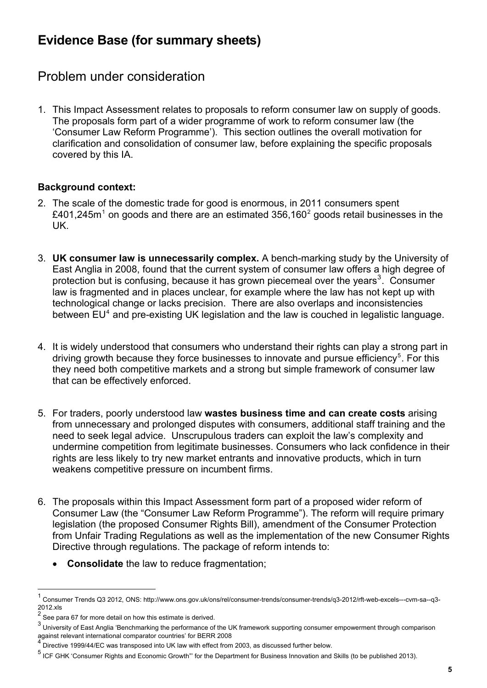# <span id="page-4-0"></span>**Evidence Base (for summary sheets)**

# <span id="page-4-1"></span>Problem under consideration

1. This Impact Assessment relates to proposals to reform consumer law on supply of goods. The proposals form part of a wider programme of work to reform consumer law (the 'Consumer Law Reform Programme'). This section outlines the overall motivation for clarification and consolidation of consumer law, before explaining the specific proposals covered by this IA.

#### **Background context:**

- 2. The scale of the domestic trade for good is enormous, in 2011 consumers spent £40[1](#page-1-0),[2](#page-4-2)45m<sup>1</sup> on goods and there are an estimated 356,160<sup>2</sup> goods retail businesses in the UK.
- 3. **UK consumer law is unnecessarily complex.** A bench-marking study by the University of East Anglia in 2008, found that the current system of consumer law offers a high degree of protection but is confusing, because it has grown piecemeal over the years<sup>[3](#page-4-3)</sup>. Consumer law is fragmented and in places unclear, for example where the law has not kept up with technological change or lacks precision. There are also overlaps and inconsistencies between EU<sup>[4](#page-4-4)</sup> and pre-existing UK legislation and the law is couched in legalistic language.
- 4. It is widely understood that consumers who understand their rights can play a strong part in driving growth because they force businesses to innovate and pursue efficiency<sup>[5](#page-4-5)</sup>. For this they need both competitive markets and a strong but simple framework of consumer law that can be effectively enforced.
- 5. For traders, poorly understood law **wastes business time and can create costs** arising from unnecessary and prolonged disputes with consumers, additional staff training and the need to seek legal advice. Unscrupulous traders can exploit the law's complexity and undermine competition from legitimate businesses. Consumers who lack confidence in their rights are less likely to try new market entrants and innovative products, which in turn weakens competitive pressure on incumbent firms.
- 6. The proposals within this Impact Assessment form part of a proposed wider reform of Consumer Law (the "Consumer Law Reform Programme"). The reform will require primary legislation (the proposed Consumer Rights Bill), amendment of the Consumer Protection from Unfair Trading Regulations as well as the implementation of the new Consumer Rights Directive through regulations. The package of reform intends to:
	- **Consolidate** the law to reduce fragmentation;

<sup>1</sup> Consumer Trends Q3 2012, ONS: http://www.ons.gov.uk/ons/rel/consumer-trends/consumer-trends/q3-2012/rft-web-excels---cvm-sa--q3- 2012.xls

<span id="page-4-2"></span> $2$  See para 67 for more detail on how this estimate is derived.

<span id="page-4-3"></span> $^3$  University of East Anglia 'Benchmarking the performance of the UK framework supporting consumer empowerment through comparison against relevant international comparator countries' for BERR 2008<br>4 Disactive 4000/44/EC was transposed into UK law with affect from

<span id="page-4-4"></span>Directive 1999/44/EC was transposed into UK law with effect from 2003, as discussed further below.

<span id="page-4-5"></span><sup>&</sup>lt;sup>5</sup> ICF GHK 'Consumer Rights and Economic Growth"' for the Department for Business Innovation and Skills (to be published 2013).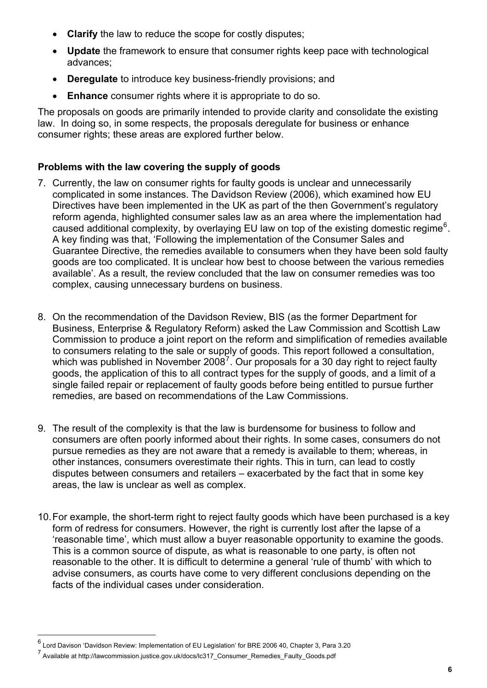- **Clarify** the law to reduce the scope for costly disputes;
- **Update** the framework to ensure that consumer rights keep pace with technological advances;
- **Deregulate** to introduce key business-friendly provisions; and
- **Enhance** consumer rights where it is appropriate to do so.

The proposals on goods are primarily intended to provide clarity and consolidate the existing law. In doing so, in some respects, the proposals deregulate for business or enhance consumer rights; these areas are explored further below.

#### **Problems with the law covering the supply of goods**

- 7. Currently, the law on consumer rights for faulty goods is unclear and unnecessarily complicated in some instances. The Davidson Review (2006), which examined how EU Directives have been implemented in the UK as part of the then Government's regulatory reform agenda, highlighted consumer sales law as an area where the implementation had caused additional complexity, by overlaying EU law on top of the existing domestic regime<sup>[6](#page-4-4)</sup>. A key finding was that, 'Following the implementation of the Consumer Sales and Guarantee Directive, the remedies available to consumers when they have been sold faulty goods are too complicated. It is unclear how best to choose between the various remedies available'. As a result, the review concluded that the law on consumer remedies was too complex, causing unnecessary burdens on business.
- 8. On the recommendation of the Davidson Review, BIS (as the former Department for Business, Enterprise & Regulatory Reform) asked the Law Commission and Scottish Law Commission to produce a joint report on the reform and simplification of remedies available to consumers relating to the sale or supply of goods. This report followed a consultation, which was published in November 2008<sup>[7](#page-5-0)</sup>. Our proposals for a 30 day right to reject faulty goods, the application of this to all contract types for the supply of goods, and a limit of a single failed repair or replacement of faulty goods before being entitled to pursue further remedies, are based on recommendations of the Law Commissions.
- 9. The result of the complexity is that the law is burdensome for business to follow and consumers are often poorly informed about their rights. In some cases, consumers do not pursue remedies as they are not aware that a remedy is available to them; whereas, in other instances, consumers overestimate their rights. This in turn, can lead to costly disputes between consumers and retailers – exacerbated by the fact that in some key areas, the law is unclear as well as complex.
- 10. For example, the short-term right to reject faulty goods which have been purchased is a key form of redress for consumers. However, the right is currently lost after the lapse of a 'reasonable time', which must allow a buyer reasonable opportunity to examine the goods. This is a common source of dispute, as what is reasonable to one party, is often not reasonable to the other. It is difficult to determine a general 'rule of thumb' with which to advise consumers, as courts have come to very different conclusions depending on the facts of the individual cases under consideration.

 $^6$  Lord Davison 'Davidson Review: Implementation of EU Legislation' for BRE 2006 40, Chapter 3, Para 3.20

<span id="page-5-0"></span><sup>7&</sup>lt;br>Available at http://lawcommission.justice.gov.uk/docs/lc317\_Consumer\_Remedies\_Faulty\_Goods.pdf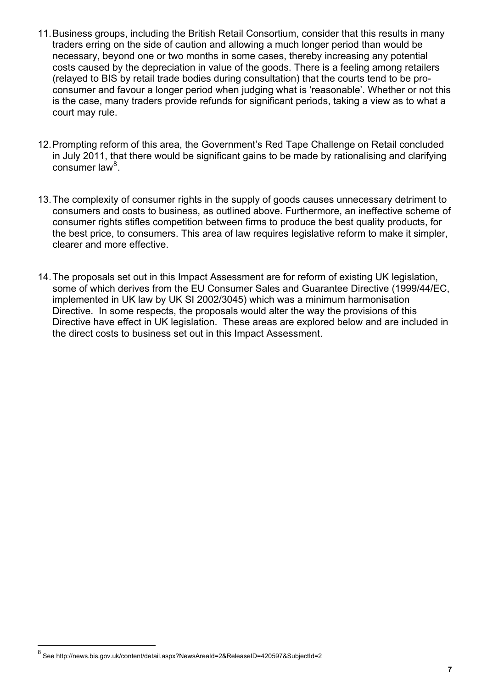- 11. Business groups, including the British Retail Consortium, consider that this results in many traders erring on the side of caution and allowing a much longer period than would be necessary, beyond one or two months in some cases, thereby increasing any potential costs caused by the depreciation in value of the goods. There is a feeling among retailers (relayed to BIS by retail trade bodies during consultation) that the courts tend to be proconsumer and favour a longer period when judging what is 'reasonable'. Whether or not this is the case, many traders provide refunds for significant periods, taking a view as to what a court may rule.
- 12. Prompting reform of this area, the Government's Red Tape Challenge on Retail concluded in July 2011, that there would be significant gains to be made by rationalising and clarifying consumer law<sup>[8](#page-5-0)</sup>.
- 13. The complexity of consumer rights in the supply of goods causes unnecessary detriment to consumers and costs to business, as outlined above. Furthermore, an ineffective scheme of consumer rights stifles competition between firms to produce the best quality products, for the best price, to consumers. This area of law requires legislative reform to make it simpler, clearer and more effective.
- 14. The proposals set out in this Impact Assessment are for reform of existing UK legislation, some of which derives from the EU Consumer Sales and Guarantee Directive (1999/44/EC, implemented in UK law by UK SI 2002/3045) which was a minimum harmonisation Directive. In some respects, the proposals would alter the way the provisions of this Directive have effect in UK legislation. These areas are explored below and are included in the direct costs to business set out in this Impact Assessment.

<span id="page-6-0"></span><sup>&</sup>lt;sup>8</sup> See http://news.bis.gov.uk/content/detail.aspx?NewsAreaId=2&ReleaseID=420597&SubjectId=2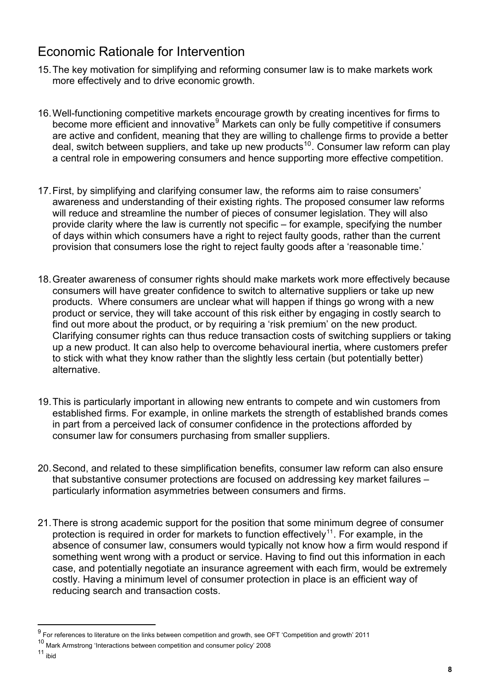# <span id="page-7-0"></span>Economic Rationale for Intervention

- 15. The key motivation for simplifying and reforming consumer law is to make markets work more effectively and to drive economic growth.
- 16. Well-functioning competitive markets encourage growth by creating incentives for firms to become more efficient and innovative<sup>[9](#page-6-0)</sup> Markets can only be fully competitive if consumers are active and confident, meaning that they are willing to challenge firms to provide a better deal, switch between suppliers, and take up new products<sup>[10](#page-7-1)</sup>. Consumer law reform can play a central role in empowering consumers and hence supporting more effective competition.
- 17. First, by simplifying and clarifying consumer law, the reforms aim to raise consumers' awareness and understanding of their existing rights. The proposed consumer law reforms will reduce and streamline the number of pieces of consumer legislation. They will also provide clarity where the law is currently not specific – for example, specifying the number of days within which consumers have a right to reject faulty goods, rather than the current provision that consumers lose the right to reject faulty goods after a 'reasonable time.'
- 18. Greater awareness of consumer rights should make markets work more effectively because consumers will have greater confidence to switch to alternative suppliers or take up new products. Where consumers are unclear what will happen if things go wrong with a new product or service, they will take account of this risk either by engaging in costly search to find out more about the product, or by requiring a 'risk premium' on the new product. Clarifying consumer rights can thus reduce transaction costs of switching suppliers or taking up a new product. It can also help to overcome behavioural inertia, where customers prefer to stick with what they know rather than the slightly less certain (but potentially better) alternative.
- 19. This is particularly important in allowing new entrants to compete and win customers from established firms. For example, in online markets the strength of established brands comes in part from a perceived lack of consumer confidence in the protections afforded by consumer law for consumers purchasing from smaller suppliers.
- 20. Second, and related to these simplification benefits, consumer law reform can also ensure that substantive consumer protections are focused on addressing key market failures – particularly information asymmetries between consumers and firms.
- 21. There is strong academic support for the position that some minimum degree of consumer protection is required in order for markets to function effectively<sup>[11](#page-7-2)</sup>. For example, in the absence of consumer law, consumers would typically not know how a firm would respond if something went wrong with a product or service. Having to find out this information in each case, and potentially negotiate an insurance agreement with each firm, would be extremely costly. Having a minimum level of consumer protection in place is an efficient way of reducing search and transaction costs.

<sup>&</sup>lt;sup>9</sup> For references to literature on the links between competition and growth, see OFT 'Competition and growth' 2011

<span id="page-7-2"></span><span id="page-7-1"></span> $10$  Mark Armstrong 'Interactions between competition and consumer policy' 2008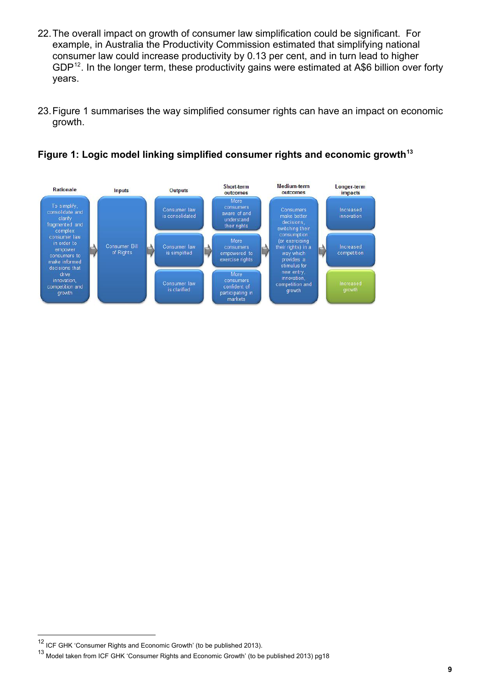- 22. The overall impact on growth of consumer law simplification could be significant. For example, in Australia the Productivity Commission estimated that simplifying national consumer law could increase productivity by 0.13 per cent, and in turn lead to higher GDP<sup>[12](#page-7-1)</sup>. In the longer term, these productivity gains were estimated at A\$6 billion over forty years.
- 23. Figure 1 summarises the way simplified consumer rights can have an impact on economic growth.



Figure 1: Logic model linking simplified consumer rights and economic growth<sup>13</sup>

<sup>&</sup>lt;sup>12</sup> ICF GHK 'Consumer Rights and Economic Growth' (to be published 2013).

<sup>13</sup> Model taken from ICF GHK 'Consumer Rights and Economic Growth' (to be published 2013) pg18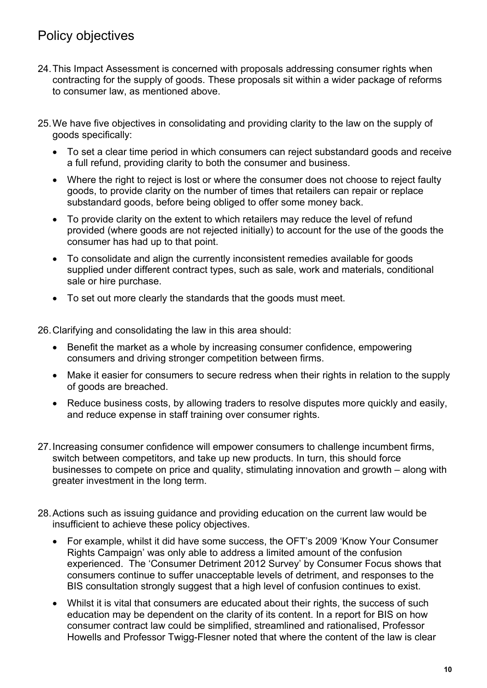# <span id="page-9-0"></span>Policy objectives

- 24. This Impact Assessment is concerned with proposals addressing consumer rights when contracting for the supply of goods. These proposals sit within a wider package of reforms to consumer law, as mentioned above.
- 25. We have five objectives in consolidating and providing clarity to the law on the supply of goods specifically:
	- To set a clear time period in which consumers can reject substandard goods and receive a full refund, providing clarity to both the consumer and business.
	- Where the right to reject is lost or where the consumer does not choose to reject faulty goods, to provide clarity on the number of times that retailers can repair or replace substandard goods, before being obliged to offer some money back.
	- To provide clarity on the extent to which retailers may reduce the level of refund provided (where goods are not rejected initially) to account for the use of the goods the consumer has had up to that point.
	- To consolidate and align the currently inconsistent remedies available for goods supplied under different contract types, such as sale, work and materials, conditional sale or hire purchase.
	- To set out more clearly the standards that the goods must meet.

26. Clarifying and consolidating the law in this area should:

- Benefit the market as a whole by increasing consumer confidence, empowering consumers and driving stronger competition between firms.
- Make it easier for consumers to secure redress when their rights in relation to the supply of goods are breached.
- Reduce business costs, by allowing traders to resolve disputes more quickly and easily, and reduce expense in staff training over consumer rights.
- 27. Increasing consumer confidence will empower consumers to challenge incumbent firms, switch between competitors, and take up new products. In turn, this should force businesses to compete on price and quality, stimulating innovation and growth – along with greater investment in the long term.
- 28. Actions such as issuing guidance and providing education on the current law would be insufficient to achieve these policy objectives.
	- For example, whilst it did have some success, the OFT's 2009 'Know Your Consumer Rights Campaign' was only able to address a limited amount of the confusion experienced. The 'Consumer Detriment 2012 Survey' by Consumer Focus shows that consumers continue to suffer unacceptable levels of detriment, and responses to the BIS consultation strongly suggest that a high level of confusion continues to exist.
	- Whilst it is vital that consumers are educated about their rights, the success of such education may be dependent on the clarity of its content. In a report for BIS on how consumer contract law could be simplified, streamlined and rationalised, Professor Howells and Professor Twigg-Flesner noted that where the content of the law is clear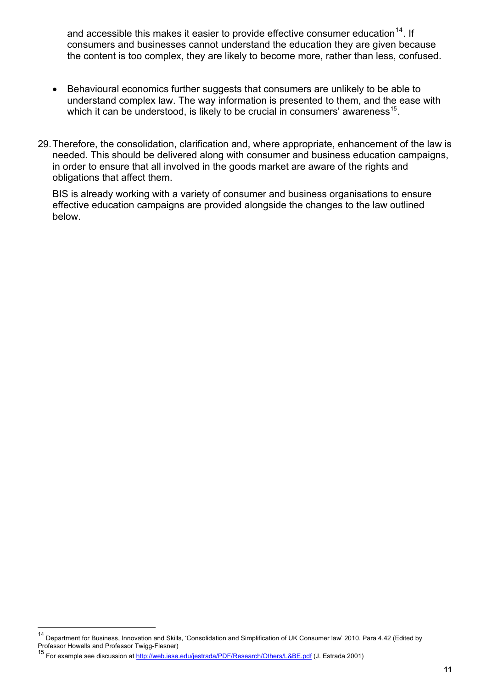and accessible this makes it easier to provide effective consumer education<sup>14</sup>. If consumers and businesses cannot understand the education they are given because the content is too complex, they are likely to become more, rather than less, confused.

- Behavioural economics further suggests that consumers are unlikely to be able to understand complex law. The way information is presented to them, and the ease with which it can be understood, is likely to be crucial in consumers' awareness<sup>[15](#page-10-0)</sup>.
- 29. Therefore, the consolidation, clarification and, where appropriate, enhancement of the law is needed. This should be delivered along with consumer and business education campaigns, in order to ensure that all involved in the goods market are aware of the rights and obligations that affect them.

BIS is already working with a variety of consumer and business organisations to ensure effective education campaigns are provided alongside the changes to the law outlined below.

<span id="page-10-1"></span><sup>14</sup> Department for Business, Innovation and Skills, 'Consolidation and Simplification of UK Consumer law' 2010. Para 4.42 (Edited by Professor Howells and Professor Twigg-Flesner)

<span id="page-10-0"></span><sup>15</sup> For example see discussion at<http://web.iese.edu/jestrada/PDF/Research/Others/L&BE.pdf> (J. Estrada 2001)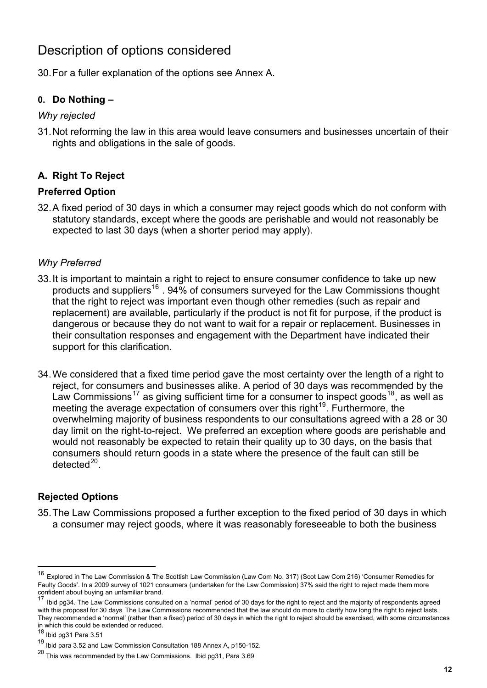# <span id="page-11-0"></span>Description of options considered

30. For a fuller explanation of the options see Annex A.

#### **0. Do Nothing –**

#### *Why rejected*

31. Not reforming the law in this area would leave consumers and businesses uncertain of their rights and obligations in the sale of goods.

## **A. Right To Reject**

#### **Preferred Option**

32. A fixed period of 30 days in which a consumer may reject goods which do not conform with statutory standards, except where the goods are perishable and would not reasonably be expected to last 30 days (when a shorter period may apply).

#### *Why Preferred*

- 33. It is important to maintain a right to reject to ensure consumer confidence to take up new products and suppliers<sup>[16](#page-10-1)</sup> . 94% of consumers surveyed for the Law Commissions thought that the right to reject was important even though other remedies (such as repair and replacement) are available, particularly if the product is not fit for purpose, if the product is dangerous or because they do not want to wait for a repair or replacement. Businesses in their consultation responses and engagement with the Department have indicated their support for this clarification.
- 34. We considered that a fixed time period gave the most certainty over the length of a right to reject, for consumers and businesses alike. A period of 30 days was recommended by the Law Commissions<sup>[17](#page-11-1)</sup> as giving sufficient time for a consumer to inspect goods<sup>18</sup>, as well as meeting the average expectation of consumers over this right<sup>[19](#page-11-3)</sup>. Furthermore, the overwhelming majority of business respondents to our consultations agreed with a 28 or 30 day limit on the right-to-reject. We preferred an exception where goods are perishable and would not reasonably be expected to retain their quality up to 30 days, on the basis that consumers should return goods in a state where the presence of the fault can still be  $detected<sup>20</sup>$  $detected<sup>20</sup>$  $detected<sup>20</sup>$

## **Rejected Options**

35. The Law Commissions proposed a further exception to the fixed period of 30 days in which a consumer may reject goods, where it was reasonably foreseeable to both the business

<sup>16</sup> Explored in The Law Commission & The Scottish Law Commission (Law Com No. 317) (Scot Law Com 216) 'Consumer Remedies for Faulty Goods'. In a 2009 survey of 1021 consumers (undertaken for the Law Commission) 37% said the right to reject made them more confident about buying an unfamiliar brand.

<span id="page-11-1"></span><sup>17</sup> Ibid pg34. The Law Commissions consulted on a 'normal' period of 30 days for the right to reject and the majority of respondents agreed with this proposal for 30 days The Law Commissions recommended that the law should do more to clarify how long the right to reject lasts. They recommended a 'normal' (rather than a fixed) period of 30 days in which the right to reject should be exercised, with some circumstances in which this could be extended or reduced.

Ibid pg31 Para 3.51

<span id="page-11-3"></span><span id="page-11-2"></span><sup>19</sup> Ibid para 3.52 and Law Commission Consultation 188 Annex A, p150-152.

<span id="page-11-4"></span> $^{20}$  This was recommended by the Law Commissions. Ibid pg31, Para 3.69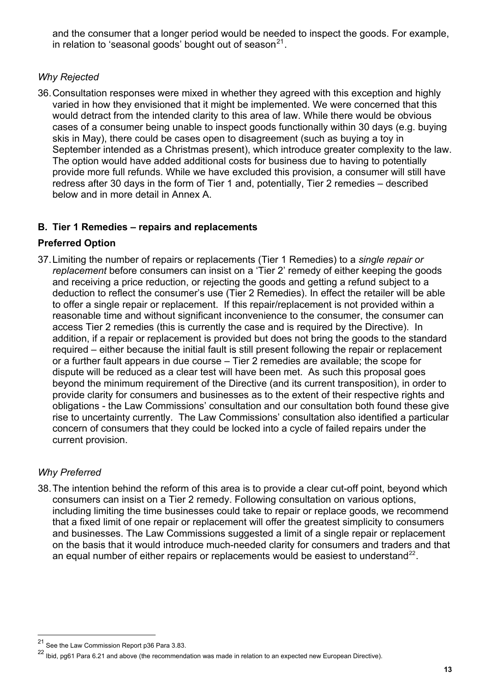and the consumer that a longer period would be needed to inspect the goods. For example, in relation to 'seasonal goods' bought out of season $^{21}$ .

## *Why Rejected*

36. Consultation responses were mixed in whether they agreed with this exception and highly varied in how they envisioned that it might be implemented. We were concerned that this would detract from the intended clarity to this area of law. While there would be obvious cases of a consumer being unable to inspect goods functionally within 30 days (e.g. buying skis in May), there could be cases open to disagreement (such as buying a toy in September intended as a Christmas present), which introduce greater complexity to the law. The option would have added additional costs for business due to having to potentially provide more full refunds. While we have excluded this provision, a consumer will still have redress after 30 days in the form of Tier 1 and, potentially, Tier 2 remedies – described below and in more detail in Annex A.

#### **B. Tier 1 Remedies – repairs and replacements**

#### **Preferred Option**

37. Limiting the number of repairs or replacements (Tier 1 Remedies) to a *single repair or replacement* before consumers can insist on a 'Tier 2' remedy of either keeping the goods and receiving a price reduction, or rejecting the goods and getting a refund subject to a deduction to reflect the consumer's use (Tier 2 Remedies). In effect the retailer will be able to offer a single repair or replacement. If this repair/replacement is not provided within a reasonable time and without significant inconvenience to the consumer, the consumer can access Tier 2 remedies (this is currently the case and is required by the Directive). In addition, if a repair or replacement is provided but does not bring the goods to the standard required – either because the initial fault is still present following the repair or replacement or a further fault appears in due course – Tier 2 remedies are available; the scope for dispute will be reduced as a clear test will have been met. As such this proposal goes beyond the minimum requirement of the Directive (and its current transposition), in order to provide clarity for consumers and businesses as to the extent of their respective rights and obligations - the Law Commissions' consultation and our consultation both found these give rise to uncertainty currently. The Law Commissions' consultation also identified a particular concern of consumers that they could be locked into a cycle of failed repairs under the current provision.

## *Why Preferred*

<span id="page-12-1"></span> $\overline{a}$ 

38. The intention behind the reform of this area is to provide a clear cut-off point, beyond which consumers can insist on a Tier 2 remedy. Following consultation on various options, including limiting the time businesses could take to repair or replace goods, we recommend that a fixed limit of one repair or replacement will offer the greatest simplicity to consumers and businesses. The Law Commissions suggested a limit of a single repair or replacement on the basis that it would introduce much-needed clarity for consumers and traders and that an equal number of either repairs or replacements would be easiest to understand<sup>[22](#page-12-0)</sup>.

See the Law Commission Report p36 Para 3.83.

<span id="page-12-0"></span> $22$  Ibid, pg61 Para 6.21 and above (the recommendation was made in relation to an expected new European Directive).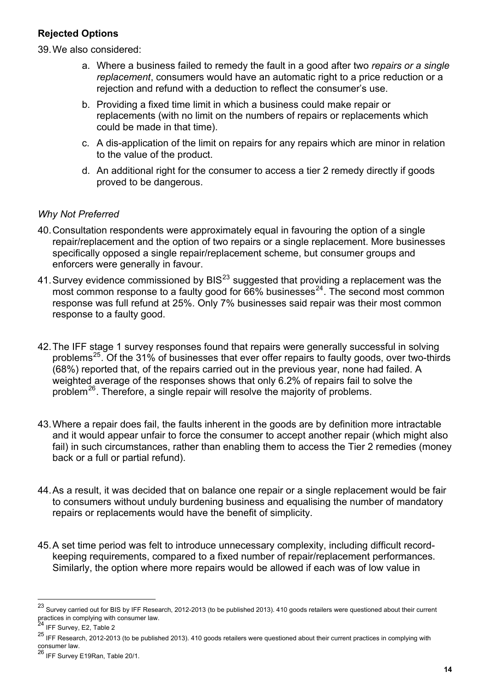#### **Rejected Options**

39. We also considered:

- a. Where a business failed to remedy the fault in a good after two *repairs or a single replacement*, consumers would have an automatic right to a price reduction or a rejection and refund with a deduction to reflect the consumer's use.
- b. Providing a fixed time limit in which a business could make repair or replacements (with no limit on the numbers of repairs or replacements which could be made in that time).
- c. A dis-application of the limit on repairs for any repairs which are minor in relation to the value of the product.
- d. An additional right for the consumer to access a tier 2 remedy directly if goods proved to be dangerous.

#### *Why Not Preferred*

- 40. Consultation respondents were approximately equal in favouring the option of a single repair/replacement and the option of two repairs or a single replacement. More businesses specifically opposed a single repair/replacement scheme, but consumer groups and enforcers were generally in favour.
- 41. Survey evidence commissioned by  $BIS^{23}$  $BIS^{23}$  $BIS^{23}$  suggested that providing a replacement was the most common response to a faulty good for  $\widetilde{66}$ % businesses<sup>[24](#page-13-0)</sup>. The second most common response was full refund at 25%. Only 7% businesses said repair was their most common response to a faulty good.
- 42. The IFF stage 1 survey responses found that repairs were generally successful in solving problems<sup>[25](#page-13-1)</sup>. Of the 31% of businesses that ever offer repairs to faulty goods, over two-thirds (68%) reported that, of the repairs carried out in the previous year, none had failed. A weighted average of the responses shows that only 6.2% of repairs fail to solve the problem<sup>[26](#page-13-2)</sup>. Therefore, a single repair will resolve the majority of problems.
- 43. Where a repair does fail, the faults inherent in the goods are by definition more intractable and it would appear unfair to force the consumer to accept another repair (which might also fail) in such circumstances, rather than enabling them to access the Tier 2 remedies (money back or a full or partial refund).
- 44. As a result, it was decided that on balance one repair or a single replacement would be fair to consumers without unduly burdening business and equalising the number of mandatory repairs or replacements would have the benefit of simplicity.
- 45. A set time period was felt to introduce unnecessary complexity, including difficult recordkeeping requirements, compared to a fixed number of repair/replacement performances. Similarly, the option where more repairs would be allowed if each was of low value in

<span id="page-13-3"></span><sup>&</sup>lt;sup>23</sup> Survev carried out for BIS by IFF Research, 2012-2013 (to be published 2013). 410 goods retailers were questioned about their current practices in complying with consumer law.<br><sup>24</sup> IFF Survey, E2, Table 2

<span id="page-13-0"></span>

<span id="page-13-1"></span><sup>&</sup>lt;sup>25</sup> IFF Research. 2012-2013 (to be published 2013). 410 goods retailers were questioned about their current practices in complying with consumer law.

<span id="page-13-2"></span><sup>&</sup>lt;sup>26</sup> IFF Survey E19Ran, Table 20/1.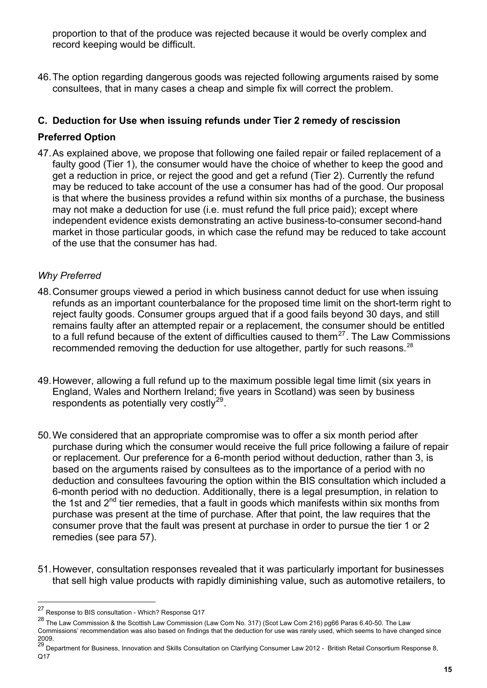proportion to that of the produce was rejected because it would be overly complex and record keeping would be difficult.

46. The option regarding dangerous goods was rejected following arguments raised by some consultees, that in many cases a cheap and simple fix will correct the problem.

#### **C. Deduction for Use when issuing refunds under Tier 2 remedy of rescission**

#### **Preferred Option**

47. As explained above, we propose that following one failed repair or failed replacement of a faulty good (Tier 1), the consumer would have the choice of whether to keep the good and get a reduction in price, or reject the good and get a refund (Tier 2). Currently the refund may be reduced to take account of the use a consumer has had of the good. Our proposal is that where the business provides a refund within six months of a purchase, the business may not make a deduction for use (i.e. must refund the full price paid); except where independent evidence exists demonstrating an active business-to-consumer second-hand market in those particular goods, in which case the refund may be reduced to take account of the use that the consumer has had.

#### *Why Preferred*

- 48. Consumer groups viewed a period in which business cannot deduct for use when issuing refunds as an important counterbalance for the proposed time limit on the short-term right to reject faulty goods. Consumer groups argued that if a good fails beyond 30 days, and still remains faulty after an attempted repair or a replacement, the consumer should be entitled to a full refund because of the extent of difficulties caused to them<sup>[27](#page-13-3)</sup>. The Law Commissions recommended removing the deduction for use altogether, partly for such reasons.<sup>[28](#page-14-0)</sup>
- 49. However, allowing a full refund up to the maximum possible legal time limit (six years in England, Wales and Northern Ireland; five years in Scotland) was seen by business respondents as potentially very costly<sup>[29](#page-14-1)</sup>.
- 50. We considered that an appropriate compromise was to offer a six month period after purchase during which the consumer would receive the full price following a failure of repair or replacement. Our preference for a 6-month period without deduction, rather than 3, is based on the arguments raised by consultees as to the importance of a period with no deduction and consultees favouring the option within the BIS consultation which included a 6-month period with no deduction. Additionally, there is a legal presumption, in relation to the 1st and  $2<sup>nd</sup>$  tier remedies, that a fault in goods which manifests within six months from purchase was present at the time of purchase. After that point, the law requires that the consumer prove that the fault was present at purchase in order to pursue the tier 1 or 2 remedies (see para 57).
- 51. However, consultation responses revealed that it was particularly important for businesses that sell high value products with rapidly diminishing value, such as automotive retailers, to

<sup>27</sup> 27 Response to BIS consultation - Which? Response Q17

<span id="page-14-0"></span><sup>28</sup> The Law Commission & the Scottish Law Commission (Law Com No. 317) (Scot Law Com 216) pg66 Paras 6.40-50. The Law Commissions' recommendation was also based on findings that the deduction for use was rarely used, which seems to have changed since 2009.

<span id="page-14-1"></span><sup>29</sup> Department for Business, Innovation and Skills Consultation on Clarifying Consumer Law 2012 - British Retail Consortium Response 8, Q17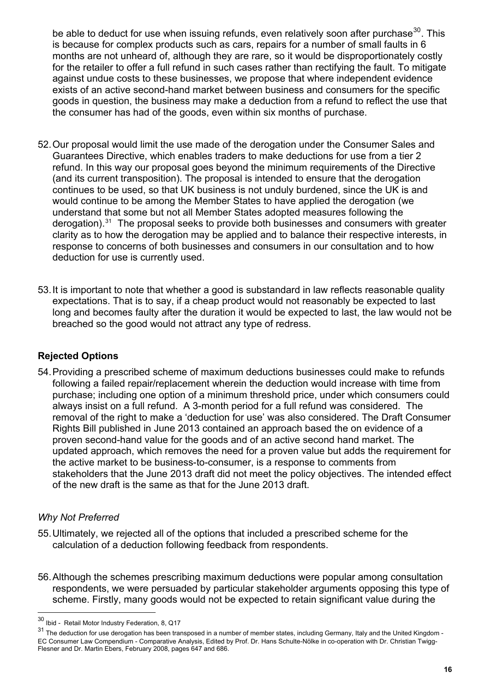be able to deduct for use when issuing refunds, even relatively soon after purchase $30$ . This is because for complex products such as cars, repairs for a number of small faults in 6 months are not unheard of, although they are rare, so it would be disproportionately costly for the retailer to offer a full refund in such cases rather than rectifying the fault. To mitigate against undue costs to these businesses, we propose that where independent evidence exists of an active second-hand market between business and consumers for the specific goods in question, the business may make a deduction from a refund to reflect the use that the consumer has had of the goods, even within six months of purchase.

- 52. Our proposal would limit the use made of the derogation under the Consumer Sales and Guarantees Directive, which enables traders to make deductions for use from a tier 2 refund. In this way our proposal goes beyond the minimum requirements of the Directive (and its current transposition). The proposal is intended to ensure that the derogation continues to be used, so that UK business is not unduly burdened, since the UK is and would continue to be among the Member States to have applied the derogation (we understand that some but not all Member States adopted measures following the derogation).<sup>[31](#page-15-0)</sup> The proposal seeks to provide both businesses and consumers with greater clarity as to how the derogation may be applied and to balance their respective interests, in response to concerns of both businesses and consumers in our consultation and to how deduction for use is currently used.
- 53. It is important to note that whether a good is substandard in law reflects reasonable quality expectations. That is to say, if a cheap product would not reasonably be expected to last long and becomes faulty after the duration it would be expected to last, the law would not be breached so the good would not attract any type of redress.

## **Rejected Options**

54. Providing a prescribed scheme of maximum deductions businesses could make to refunds following a failed repair/replacement wherein the deduction would increase with time from purchase; including one option of a minimum threshold price, under which consumers could always insist on a full refund. A 3-month period for a full refund was considered. The removal of the right to make a 'deduction for use' was also considered. The Draft Consumer Rights Bill published in June 2013 contained an approach based the on evidence of a proven second-hand value for the goods and of an active second hand market. The updated approach, which removes the need for a proven value but adds the requirement for the active market to be business-to-consumer, is a response to comments from stakeholders that the June 2013 draft did not meet the policy objectives. The intended effect of the new draft is the same as that for the June 2013 draft.

#### *Why Not Preferred*

- 55. Ultimately, we rejected all of the options that included a prescribed scheme for the calculation of a deduction following feedback from respondents.
- 56. Although the schemes prescribing maximum deductions were popular among consultation respondents, we were persuaded by particular stakeholder arguments opposing this type of scheme. Firstly, many goods would not be expected to retain significant value during the

<sup>30</sup> Ibid - Retail Motor Industry Federation, 8, Q17

<span id="page-15-0"></span><sup>&</sup>lt;sup>31</sup> The deduction for use derogation has been transposed in a number of member states, including Germany, Italy and the United Kingdom -EC Consumer Law Compendium - Comparative Analysis, Edited by Prof. Dr. Hans Schulte-Nölke in co-operation with Dr. Christian Twigg-Flesner and Dr. Martin Ebers, February 2008, pages 647 and 686.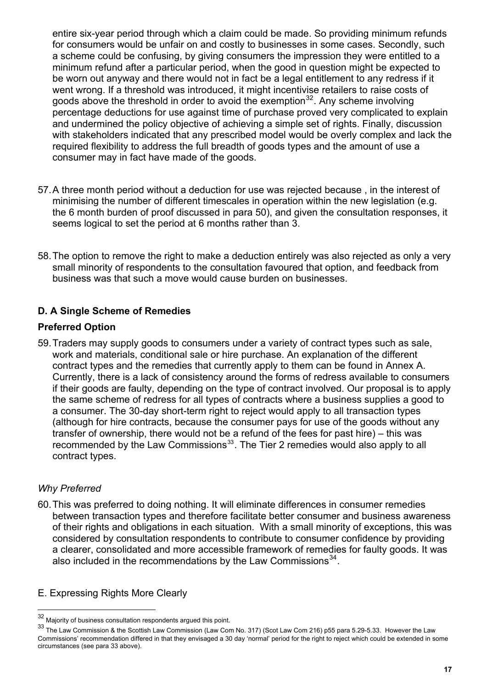entire six-year period through which a claim could be made. So providing minimum refunds for consumers would be unfair on and costly to businesses in some cases. Secondly, such a scheme could be confusing, by giving consumers the impression they were entitled to a minimum refund after a particular period, when the good in question might be expected to be worn out anyway and there would not in fact be a legal entitlement to any redress if it went wrong. If a threshold was introduced, it might incentivise retailers to raise costs of goods above the threshold in order to avoid the exemption<sup>32</sup>. Any scheme involving percentage deductions for use against time of purchase proved very complicated to explain and undermined the policy objective of achieving a simple set of rights. Finally, discussion with stakeholders indicated that any prescribed model would be overly complex and lack the required flexibility to address the full breadth of goods types and the amount of use a consumer may in fact have made of the goods.

- 57. A three month period without a deduction for use was rejected because , in the interest of minimising the number of different timescales in operation within the new legislation (e.g. the 6 month burden of proof discussed in para 50), and given the consultation responses, it seems logical to set the period at 6 months rather than 3.
- 58. The option to remove the right to make a deduction entirely was also rejected as only a very small minority of respondents to the consultation favoured that option, and feedback from business was that such a move would cause burden on businesses.

## **D. A Single Scheme of Remedies**

#### **Preferred Option**

59. Traders may supply goods to consumers under a variety of contract types such as sale, work and materials, conditional sale or hire purchase. An explanation of the different contract types and the remedies that currently apply to them can be found in Annex A. Currently, there is a lack of consistency around the forms of redress available to consumers if their goods are faulty, depending on the type of contract involved. Our proposal is to apply the same scheme of redress for all types of contracts where a business supplies a good to a consumer. The 30-day short-term right to reject would apply to all transaction types (although for hire contracts, because the consumer pays for use of the goods without any transfer of ownership, there would not be a refund of the fees for past hire) – this was recommended by the Law Commissions<sup>[33](#page-16-0)</sup>. The Tier 2 remedies would also apply to all contract types.

#### *Why Preferred*

<span id="page-16-2"></span> $\overline{a}$ 

60. This was preferred to doing nothing. It will eliminate differences in consumer remedies between transaction types and therefore facilitate better consumer and business awareness of their rights and obligations in each situation. With a small minority of exceptions, this was considered by consultation respondents to contribute to consumer confidence by providing a clearer, consolidated and more accessible framework of remedies for faulty goods. It was also included in the recommendations by the Law Commissions $34$ .

## E. Expressing Rights More Clearly

<sup>32</sup> Majority of business consultation respondents argued this point.

<span id="page-16-1"></span><span id="page-16-0"></span><sup>33</sup> The Law Commission & the Scottish Law Commission (Law Com No. 317) (Scot Law Com 216) p55 para 5.29-5.33. However the Law Commissions' recommendation differed in that they envisaged a 30 day 'normal' period for the right to reject which could be extended in some circumstances (see para 33 above).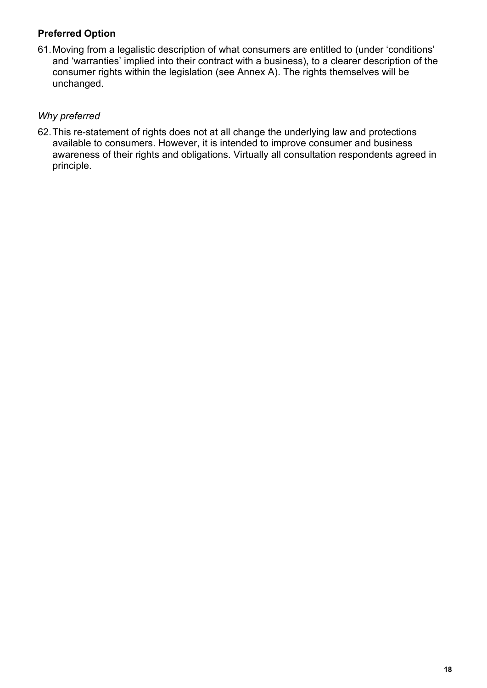#### **Preferred Option**

61. Moving from a legalistic description of what consumers are entitled to (under 'conditions' and 'warranties' implied into their contract with a business), to a clearer description of the consumer rights within the legislation (see Annex A). The rights themselves will be unchanged.

#### *Why preferred*

62.This re-statement of rights does not at all change the underlying law and protections available to consumers. However, it is intended to improve consumer and business awareness of their rights and obligations. Virtually all consultation respondents agreed in principle.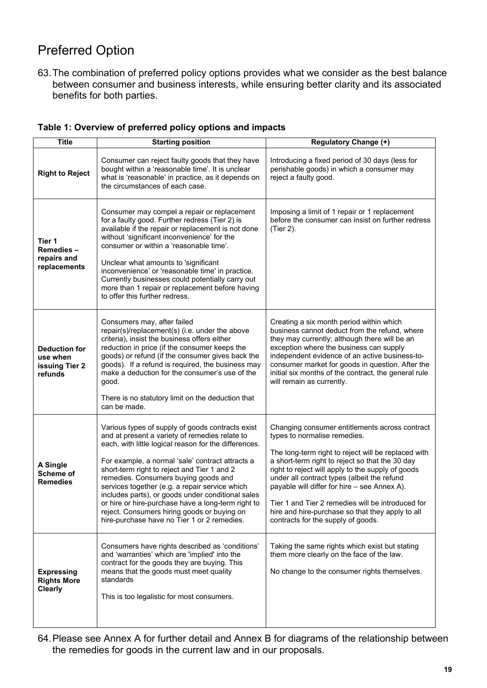# <span id="page-18-0"></span>Preferred Option

63. The combination of preferred policy options provides what we consider as the best balance between consumer and business interests, while ensuring better clarity and its associated benefits for both parties.

| Table 1: Overview of preferred policy options and impacts |  |  |  |  |  |  |  |  |  |
|-----------------------------------------------------------|--|--|--|--|--|--|--|--|--|
|-----------------------------------------------------------|--|--|--|--|--|--|--|--|--|

| <b>Title</b>                                                  | <b>Starting position</b>                                                                                                                                                                                                                                                                                                                                                                                                                                                                                                                                          | <b>Regulatory Change (+)</b>                                                                                                                                                                                                                                                                                                                                                                                                                                                                |
|---------------------------------------------------------------|-------------------------------------------------------------------------------------------------------------------------------------------------------------------------------------------------------------------------------------------------------------------------------------------------------------------------------------------------------------------------------------------------------------------------------------------------------------------------------------------------------------------------------------------------------------------|---------------------------------------------------------------------------------------------------------------------------------------------------------------------------------------------------------------------------------------------------------------------------------------------------------------------------------------------------------------------------------------------------------------------------------------------------------------------------------------------|
| <b>Right to Reject</b>                                        | Consumer can reject faulty goods that they have<br>bought within a 'reasonable time'. It is unclear<br>what is 'reasonable' in practice, as it depends on<br>the circumstances of each case.                                                                                                                                                                                                                                                                                                                                                                      | Introducing a fixed period of 30 days (less for<br>perishable goods) in which a consumer may<br>reject a faulty good.                                                                                                                                                                                                                                                                                                                                                                       |
| Tier 1<br><b>Remedies-</b><br>repairs and<br>replacements     | Consumer may compel a repair or replacement<br>for a faulty good. Further redress (Tier 2) is<br>available if the repair or replacement is not done<br>without 'significant inconvenience' for the<br>consumer or within a 'reasonable time'.<br>Unclear what amounts to 'significant<br>inconvenience' or 'reasonable time' in practice.<br>Currently businesses could potentially carry out<br>more than 1 repair or replacement before having<br>to offer this further redress.                                                                                | Imposing a limit of 1 repair or 1 replacement<br>before the consumer can insist on further redress<br>(Tier 2).                                                                                                                                                                                                                                                                                                                                                                             |
| <b>Deduction for</b><br>use when<br>issuing Tier 2<br>refunds | Consumers may, after failed<br>repair(s)/replacement(s) (i.e. under the above<br>criteria), insist the business offers either<br>reduction in price (if the consumer keeps the<br>goods) or refund (if the consumer gives back the<br>goods). If a refund is required, the business may<br>make a deduction for the consumer's use of the<br>good.<br>There is no statutory limit on the deduction that<br>can be made.                                                                                                                                           | Creating a six month period within which<br>business cannot deduct from the refund, where<br>they may currently; although there will be an<br>exception where the business can supply<br>independent evidence of an active business-to-<br>consumer market for goods in question. After the<br>initial six months of the contract, the general rule<br>will remain as currently.                                                                                                            |
| <b>A Single</b><br>Scheme of<br><b>Remedies</b>               | Various types of supply of goods contracts exist<br>and at present a variety of remedies relate to<br>each, with little logical reason for the differences.<br>For example, a normal 'sale' contract attracts a<br>short-term right to reject and Tier 1 and 2<br>remedies. Consumers buying goods and<br>services together (e.g. a repair service which<br>includes parts), or goods under conditional sales<br>or hire or hire-purchase have a long-term right to<br>reject. Consumers hiring goods or buying on<br>hire-purchase have no Tier 1 or 2 remedies. | Changing consumer entitlements across contract<br>types to normalise remedies.<br>The long-term right to reject will be replaced with<br>a short-term right to reject so that the 30 day<br>right to reject will apply to the supply of goods<br>under all contract types (albeit the refund<br>payable will differ for hire - see Annex A).<br>Tier 1 and Tier 2 remedies will be introduced for<br>hire and hire-purchase so that they apply to all<br>contracts for the supply of goods. |
| <b>Expressing</b><br><b>Rights More</b><br><b>Clearly</b>     | Consumers have rights described as 'conditions'<br>and 'warranties' which are 'implied' into the<br>contract for the goods they are buying. This<br>means that the goods must meet quality<br>standards<br>This is too legalistic for most consumers.                                                                                                                                                                                                                                                                                                             | Taking the same rights which exist but stating<br>them more clearly on the face of the law.<br>No change to the consumer rights themselves.                                                                                                                                                                                                                                                                                                                                                 |

64. Please see Annex A for further detail and Annex B for diagrams of the relationship between the remedies for goods in the current law and in our proposals.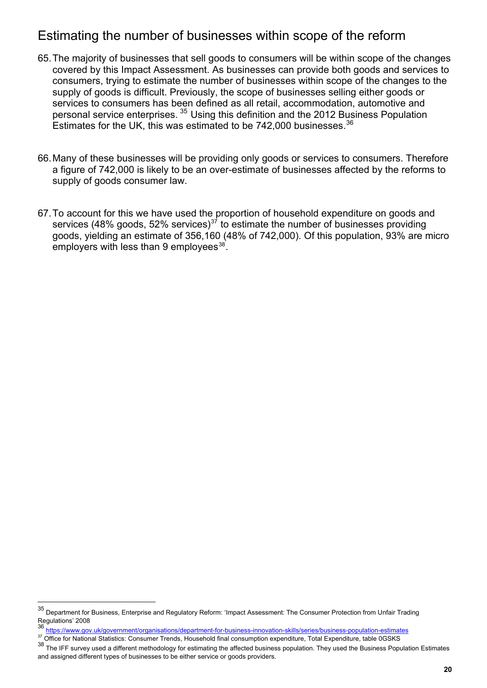# <span id="page-19-0"></span>Estimating the number of businesses within scope of the reform

- 65. The majority of businesses that sell goods to consumers will be within scope of the changes covered by this Impact Assessment. As businesses can provide both goods and services to consumers, trying to estimate the number of businesses within scope of the changes to the supply of goods is difficult. Previously, the scope of businesses selling either goods or services to consumers has been defined as all retail, accommodation, automotive and personal service enterprises. [35](#page-16-2) Using this definition and the 2012 Business Population Estimates for the UK, this was estimated to be  $742,000$  businesses.  $36$
- 66. Many of these businesses will be providing only goods or services to consumers. Therefore a figure of 742,000 is likely to be an over-estimate of businesses affected by the reforms to supply of goods consumer law.
- 67. To account for this we have used the proportion of household expenditure on goods and services (48% goods, 52% services)<sup>[37](#page-19-2)</sup> to estimate the number of businesses providing goods, yielding an estimate of 356,160 (48% of 742,000). Of this population, 93% are micro employers with less than 9 employees $^{38}$  $^{38}$  $^{38}$ .

<sup>35</sup> Department for Business, Enterprise and Regulatory Reform: 'Impact Assessment: The Consumer Protection from Unfair Trading Regulations' 2008

<span id="page-19-1"></span><https://www.gov.uk/government/organisations/department-for-business-innovation-skills/series/business-population-estimates>

<span id="page-19-2"></span><sup>37</sup> Office for National Statistics: Consumer Trends, Household final consumption expenditure, Total Expenditure, table 0GSKS

<span id="page-19-3"></span><sup>&</sup>lt;sup>38</sup> The IFF survey used a different methodology for estimating the affected business population. They used the Business Population Estimates and assigned different types of businesses to be either service or goods providers.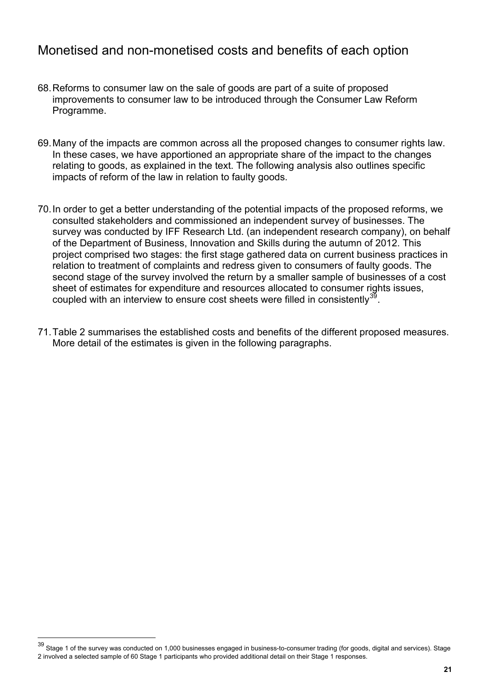# <span id="page-20-0"></span>Monetised and non-monetised costs and benefits of each option

- 68. Reforms to consumer law on the sale of goods are part of a suite of proposed improvements to consumer law to be introduced through the Consumer Law Reform Programme.
- 69. Many of the impacts are common across all the proposed changes to consumer rights law. In these cases, we have apportioned an appropriate share of the impact to the changes relating to goods, as explained in the text. The following analysis also outlines specific impacts of reform of the law in relation to faulty goods.
- 70. In order to get a better understanding of the potential impacts of the proposed reforms, we consulted stakeholders and commissioned an independent survey of businesses. The survey was conducted by IFF Research Ltd. (an independent research company), on behalf of the Department of Business, Innovation and Skills during the autumn of 2012. This project comprised two stages: the first stage gathered data on current business practices in relation to treatment of complaints and redress given to consumers of faulty goods. The second stage of the survey involved the return by a smaller sample of businesses of a cost sheet of estimates for expenditure and resources allocated to consumer rights issues, coupled with an interview to ensure cost sheets were filled in consistently  $39$ .
- 71. Table 2 summarises the established costs and benefits of the different proposed measures. More detail of the estimates is given in the following paragraphs.

<span id="page-20-1"></span> $39$  Stage 1 of the survey was conducted on 1,000 businesses engaged in business-to-consumer trading (for goods, digital and services). Stage 2 involved a selected sample of 60 Stage 1 participants who provided additional detail on their Stage 1 responses.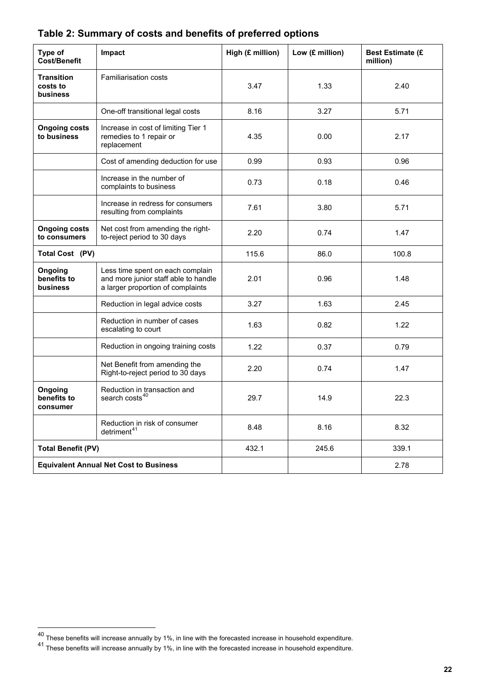| Type of<br><b>Cost/Benefit</b>                   | Impact                                                                                                        | High (£ million) | Low (£ million) | <b>Best Estimate (£</b><br>million) |
|--------------------------------------------------|---------------------------------------------------------------------------------------------------------------|------------------|-----------------|-------------------------------------|
| <b>Transition</b><br>costs to<br><b>business</b> | <b>Familiarisation costs</b>                                                                                  | 3.47             | 1.33            | 2.40                                |
|                                                  | One-off transitional legal costs                                                                              | 8.16             | 3.27            | 5.71                                |
| <b>Ongoing costs</b><br>to business              | Increase in cost of limiting Tier 1<br>remedies to 1 repair or<br>replacement                                 | 4.35             | 0.00            | 2.17                                |
|                                                  | Cost of amending deduction for use                                                                            | 0.99             | 0.93            | 0.96                                |
|                                                  | Increase in the number of<br>complaints to business                                                           | 0.73             | 0.18            | 0.46                                |
|                                                  | Increase in redress for consumers<br>resulting from complaints                                                | 7.61             | 3.80            | 5.71                                |
| <b>Ongoing costs</b><br>to consumers             | Net cost from amending the right-<br>to-reject period to 30 days                                              | 2.20             | 0.74            | 1.47                                |
| Total Cost (PV)                                  |                                                                                                               | 115.6            | 86.0            | 100.8                               |
| Ongoing<br>benefits to<br>business               | Less time spent on each complain<br>and more junior staff able to handle<br>a larger proportion of complaints | 2.01             | 0.96            | 1.48                                |
|                                                  | Reduction in legal advice costs                                                                               | 3.27             | 1.63            | 2.45                                |
|                                                  | Reduction in number of cases<br>escalating to court                                                           | 1.63             | 0.82            | 1.22                                |
|                                                  | Reduction in ongoing training costs                                                                           | 1.22             | 0.37            | 0.79                                |
|                                                  | Net Benefit from amending the<br>Right-to-reject period to 30 days                                            | 2.20             | 0.74            | 1.47                                |
| Ongoing<br>benefits to<br>consumer               | Reduction in transaction and<br>search costs <sup>40</sup>                                                    | 29.7             | 14.9            | 22.3                                |
|                                                  | Reduction in risk of consumer<br>detriment <sup>41</sup>                                                      | 8.48             | 8.16            | 8.32                                |
| <b>Total Benefit (PV)</b>                        |                                                                                                               | 432.1            | 245.6           | 339.1                               |
|                                                  | <b>Equivalent Annual Net Cost to Business</b>                                                                 |                  |                 | 2.78                                |

## **Table 2: Summary of costs and benefits of preferred options**

 $^{40}$  These benefits will increase annually by 1%, in line with the forecasted increase in household expenditure.

<span id="page-21-0"></span><sup>41</sup> These benefits will increase annually by 1%, in line with the forecasted increase in household expenditure.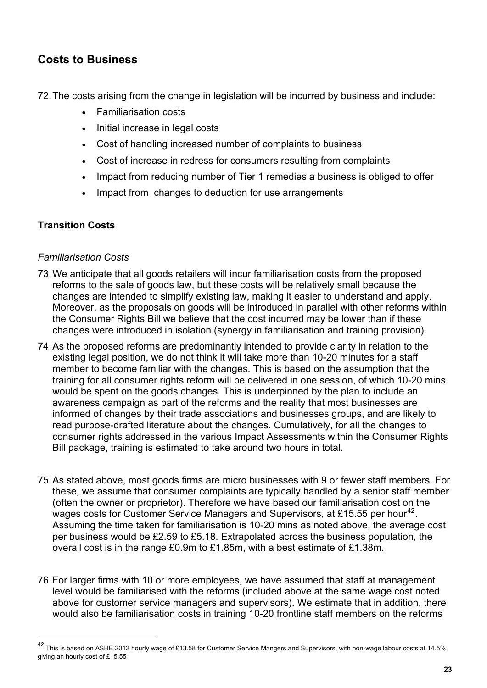## <span id="page-22-0"></span>**Costs to Business**

72. The costs arising from the change in legislation will be incurred by business and include:

- Familiarisation costs
- Initial increase in legal costs
- Cost of handling increased number of complaints to business
- Cost of increase in redress for consumers resulting from complaints
- Impact from reducing number of Tier 1 remedies a business is obliged to offer
- Impact from changes to deduction for use arrangements

#### **Transition Costs**

 $\overline{a}$ 

#### *Familiarisation Costs*

- 73. We anticipate that all goods retailers will incur familiarisation costs from the proposed reforms to the sale of goods law, but these costs will be relatively small because the changes are intended to simplify existing law, making it easier to understand and apply. Moreover, as the proposals on goods will be introduced in parallel with other reforms within the Consumer Rights Bill we believe that the cost incurred may be lower than if these changes were introduced in isolation (synergy in familiarisation and training provision).
- 74. As the proposed reforms are predominantly intended to provide clarity in relation to the existing legal position, we do not think it will take more than 10-20 minutes for a staff member to become familiar with the changes. This is based on the assumption that the training for all consumer rights reform will be delivered in one session, of which 10-20 mins would be spent on the goods changes. This is underpinned by the plan to include an awareness campaign as part of the reforms and the reality that most businesses are informed of changes by their trade associations and businesses groups, and are likely to read purpose-drafted literature about the changes. Cumulatively, for all the changes to consumer rights addressed in the various Impact Assessments within the Consumer Rights Bill package, training is estimated to take around two hours in total.
- 75. As stated above, most goods firms are micro businesses with 9 or fewer staff members. For these, we assume that consumer complaints are typically handled by a senior staff member (often the owner or proprietor). Therefore we have based our familiarisation cost on the wages costs for Customer Service Managers and Supervisors, at £15.55 per hour<sup>[42](#page-21-0)</sup>. Assuming the time taken for familiarisation is 10-20 mins as noted above, the average cost per business would be £2.59 to £5.18. Extrapolated across the business population, the overall cost is in the range £0.9m to £1.85m, with a best estimate of £1.38m.
- 76. For larger firms with 10 or more employees, we have assumed that staff at management level would be familiarised with the reforms (included above at the same wage cost noted above for customer service managers and supervisors). We estimate that in addition, there would also be familiarisation costs in training 10-20 frontline staff members on the reforms

<sup>&</sup>lt;sup>42</sup> This is based on ASHE 2012 hourly wage of £13.58 for Customer Service Mangers and Supervisors, with non-wage labour costs at 14.5%, giving an hourly cost of £15.55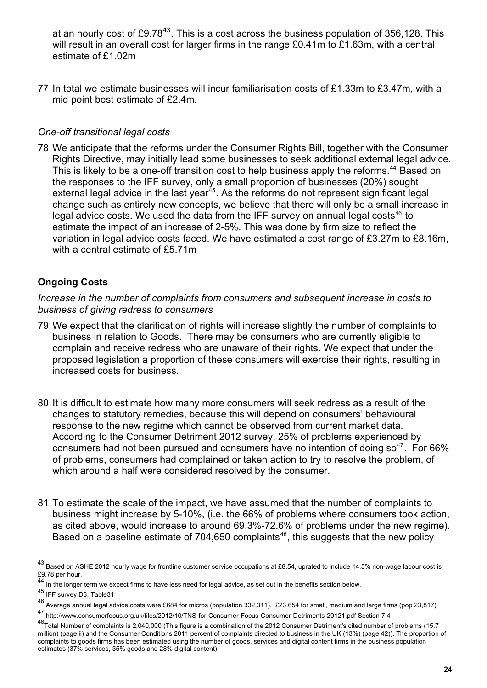at an hourly cost of £9.78<sup>43</sup>. This is a cost across the business population of 356,128. This will result in an overall cost for larger firms in the range £0.41m to £1.63m, with a central estimate of £1.02m

77. In total we estimate businesses will incur familiarisation costs of £1.33m to £3.47m, with a mid point best estimate of £2.4m.

#### *One-off transitional legal costs*

78. We anticipate that the reforms under the Consumer Rights Bill, together with the Consumer Rights Directive, may initially lead some businesses to seek additional external legal advice. This is likely to be a one-off transition cost to help business apply the reforms.<sup>[44](#page-23-0)</sup> Based on the responses to the IFF survey, only a small proportion of businesses (20%) sought external legal advice in the last year<sup>[45](#page-23-1)</sup>. As the reforms do not represent significant legal change such as entirely new concepts, we believe that there will only be a small increase in legal advice costs. We used the data from the IFF survey on annual legal costs<sup>[46](#page-23-2)</sup> to estimate the impact of an increase of 2-5%. This was done by firm size to reflect the variation in legal advice costs faced. We have estimated a cost range of £3.27m to £8.16m, with a central estimate of £5.71m

## **Ongoing Costs**

*Increase in the number of complaints from consumers and subsequent increase in costs to business of giving redress to consumers* 

- 79. We expect that the clarification of rights will increase slightly the number of complaints to business in relation to Goods. There may be consumers who are currently eligible to complain and receive redress who are unaware of their rights. We expect that under the proposed legislation a proportion of these consumers will exercise their rights, resulting in increased costs for business.
- 80. It is difficult to estimate how many more consumers will seek redress as a result of the changes to statutory remedies, because this will depend on consumers' behavioural response to the new regime which cannot be observed from current market data. According to the Consumer Detriment 2012 survey, 25% of problems experienced by consumers had not been pursued and consumers have no intention of doing  $\text{so}^{47}$  $\text{so}^{47}$  $\text{so}^{47}$ . For 66% of problems, consumers had complained or taken action to try to resolve the problem, of which around a half were considered resolved by the consumer.
- 81. To estimate the scale of the impact, we have assumed that the number of complaints to business might increase by 5-10%, (i.e. the 66% of problems where consumers took action, as cited above, would increase to around 69.3%-72.6% of problems under the new regime). Based on a baseline estimate of 704,650 complaints<sup>[48](#page-23-4)</sup>, this suggests that the new policy

<sup>43</sup> Based on ASHE 2012 hourly wage for frontline customer service occupations at £8.54, uprated to include 14.5% non-wage labour cost is £9.78 per hour.

In the longer term we expect firms to have less need for legal advice, as set out in the benefits section below.

<span id="page-23-1"></span><span id="page-23-0"></span><sup>45</sup> IFF survey D3, Table31

<span id="page-23-2"></span><sup>46</sup> Average annual legal advice costs were £684 for micros (population 332,311), £23,654 for small, medium and large firms (pop 23,817)

<span id="page-23-3"></span><sup>47</sup> http://www.consumerfocus.org.uk/files/2012/10/TNS-for-Consumer-Focus-Consumer-Detriments-20121.pdf Section 7.4

<span id="page-23-5"></span><span id="page-23-4"></span><sup>48</sup>Total Number of complaints is 2,040,000 (This figure is a combination of the 2012 Consumer Detriment's cited number of problems (15.7 million) (page ii) and the Consumer Conditions 2011 percent of complaints directed to business in the UK (13%) (page 42)). The proportion of complaints to goods firms has been estimated using the number of goods, services and digital content firms in the business population estimates (37% services, 35% goods and 28% digital content).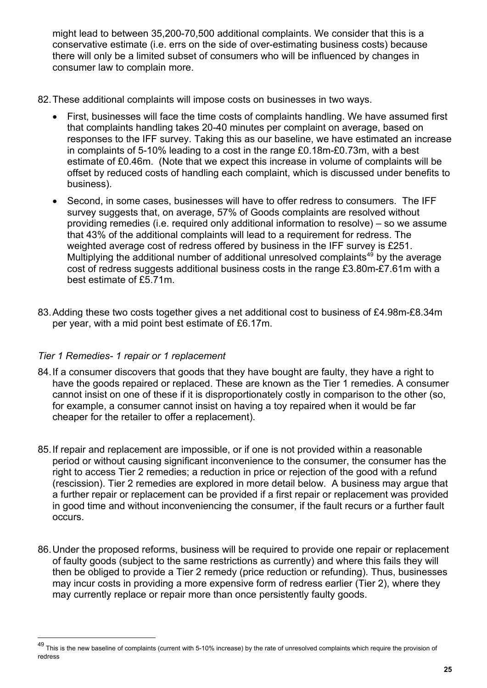might lead to between 35,200-70,500 additional complaints. We consider that this is a conservative estimate (i.e. errs on the side of over-estimating business costs) because there will only be a limited subset of consumers who will be influenced by changes in consumer law to complain more.

- 82. These additional complaints will impose costs on businesses in two ways.
	- First, businesses will face the time costs of complaints handling. We have assumed first that complaints handling takes 20-40 minutes per complaint on average, based on responses to the IFF survey. Taking this as our baseline, we have estimated an increase in complaints of 5-10% leading to a cost in the range £0.18m-£0.73m, with a best estimate of £0.46m. (Note that we expect this increase in volume of complaints will be offset by reduced costs of handling each complaint, which is discussed under benefits to business).
	- Second, in some cases, businesses will have to offer redress to consumers. The IFF survey suggests that, on average, 57% of Goods complaints are resolved without providing remedies (i.e. required only additional information to resolve) – so we assume that 43% of the additional complaints will lead to a requirement for redress. The weighted average cost of redress offered by business in the IFF survey is £251. Multiplying the additional number of additional unresolved complaints<sup>[49](#page-23-5)</sup> by the average cost of redress suggests additional business costs in the range £3.80m-£7.61m with a best estimate of £5.71m.
- 83. Adding these two costs together gives a net additional cost to business of £4.98m-£8.34m per year, with a mid point best estimate of £6.17m.

#### *Tier 1 Remedies- 1 repair or 1 replacement*

- 84. If a consumer discovers that goods that they have bought are faulty, they have a right to have the goods repaired or replaced. These are known as the Tier 1 remedies. A consumer cannot insist on one of these if it is disproportionately costly in comparison to the other (so, for example, a consumer cannot insist on having a toy repaired when it would be far cheaper for the retailer to offer a replacement).
- 85. If repair and replacement are impossible, or if one is not provided within a reasonable period or without causing significant inconvenience to the consumer, the consumer has the right to access Tier 2 remedies; a reduction in price or rejection of the good with a refund (rescission). Tier 2 remedies are explored in more detail below. A business may argue that a further repair or replacement can be provided if a first repair or replacement was provided in good time and without inconveniencing the consumer, if the fault recurs or a further fault occurs.
- 86. Under the proposed reforms, business will be required to provide one repair or replacement of faulty goods (subject to the same restrictions as currently) and where this fails they will then be obliged to provide a Tier 2 remedy (price reduction or refunding). Thus, businesses may incur costs in providing a more expensive form of redress earlier (Tier 2), where they may currently replace or repair more than once persistently faulty goods.

<span id="page-24-0"></span><sup>&</sup>lt;sup>49</sup> This is the new baseline of complaints (current with 5-10% increase) by the rate of unresolved complaints which require the provision of redress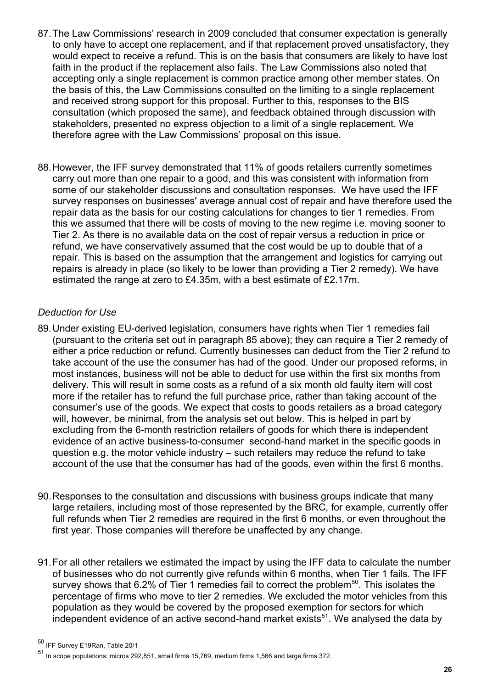- 87. The Law Commissions' research in 2009 concluded that consumer expectation is generally to only have to accept one replacement, and if that replacement proved unsatisfactory, they would expect to receive a refund. This is on the basis that consumers are likely to have lost faith in the product if the replacement also fails. The Law Commissions also noted that accepting only a single replacement is common practice among other member states. On the basis of this, the Law Commissions consulted on the limiting to a single replacement and received strong support for this proposal. Further to this, responses to the BIS consultation (which proposed the same), and feedback obtained through discussion with stakeholders, presented no express objection to a limit of a single replacement. We therefore agree with the Law Commissions' proposal on this issue.
- 88. However, the IFF survey demonstrated that 11% of goods retailers currently sometimes carry out more than one repair to a good, and this was consistent with information from some of our stakeholder discussions and consultation responses. We have used the IFF survey responses on businesses' average annual cost of repair and have therefore used the repair data as the basis for our costing calculations for changes to tier 1 remedies. From this we assumed that there will be costs of moving to the new regime i.e. moving sooner to Tier 2. As there is no available data on the cost of repair versus a reduction in price or refund, we have conservatively assumed that the cost would be up to double that of a repair. This is based on the assumption that the arrangement and logistics for carrying out repairs is already in place (so likely to be lower than providing a Tier 2 remedy). We have estimated the range at zero to £4.35m, with a best estimate of £2.17m.

#### *Deduction for Use*

- 89. Under existing EU-derived legislation, consumers have rights when Tier 1 remedies fail (pursuant to the criteria set out in paragraph 85 above); they can require a Tier 2 remedy of either a price reduction or refund. Currently businesses can deduct from the Tier 2 refund to take account of the use the consumer has had of the good. Under our proposed reforms, in most instances, business will not be able to deduct for use within the first six months from delivery. This will result in some costs as a refund of a six month old faulty item will cost more if the retailer has to refund the full purchase price, rather than taking account of the consumer's use of the goods. We expect that costs to goods retailers as a broad category will, however, be minimal, from the analysis set out below. This is helped in part by excluding from the 6-month restriction retailers of goods for which there is independent evidence of an active business-to-consumer second-hand market in the specific goods in question e.g. the motor vehicle industry – such retailers may reduce the refund to take account of the use that the consumer has had of the goods, even within the first 6 months.
- 90. Responses to the consultation and discussions with business groups indicate that many large retailers, including most of those represented by the BRC, for example, currently offer full refunds when Tier 2 remedies are required in the first 6 months, or even throughout the first year. Those companies will therefore be unaffected by any change.
- 91. For all other retailers we estimated the impact by using the IFF data to calculate the number of businesses who do not currently give refunds within 6 months, when Tier 1 fails. The IFF survey shows that 6.2% of Tier 1 remedies fail to correct the problem<sup>[50](#page-24-0)</sup>. This isolates the percentage of firms who move to tier 2 remedies. We excluded the motor vehicles from this population as they would be covered by the proposed exemption for sectors for which independent evidence of an active second-hand market exists<sup>[51](#page-25-0)</sup>. We analysed the data by

<sup>50</sup> IFF Survey E19Ran, Table 20/1

<span id="page-25-0"></span><sup>51</sup> In scope populations: micros 292,851, small firms 15,769, medium firms 1,566 and large firms 372.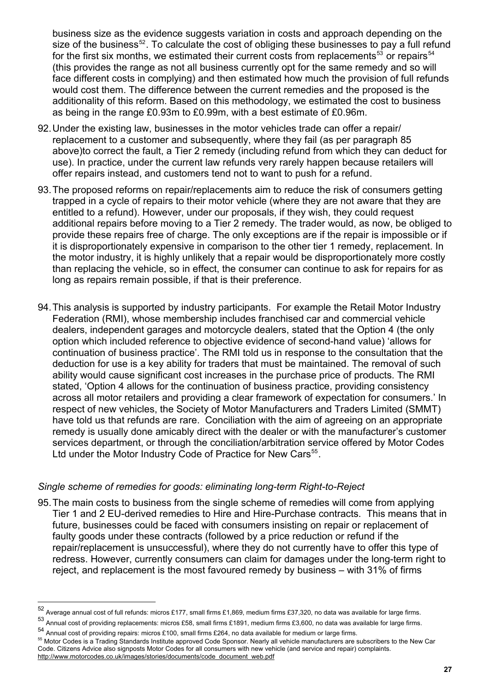business size as the evidence suggests variation in costs and approach depending on the size of the business $52$ . To calculate the cost of obliging these businesses to pay a full refund for the first six months, we estimated their current costs from replacements<sup>53</sup> or repairs<sup>54</sup> (this provides the range as not all business currently opt for the same remedy and so will face different costs in complying) and then estimated how much the provision of full refunds would cost them. The difference between the current remedies and the proposed is the additionality of this reform. Based on this methodology, we estimated the cost to business as being in the range £0.93m to £0.99m, with a best estimate of £0.96m.

- 92. Under the existing law, businesses in the motor vehicles trade can offer a repair/ replacement to a customer and subsequently, where they fail (as per paragraph 85 above)to correct the fault, a Tier 2 remedy (including refund from which they can deduct for use). In practice, under the current law refunds very rarely happen because retailers will offer repairs instead, and customers tend not to want to push for a refund.
- 93. The proposed reforms on repair/replacements aim to reduce the risk of consumers getting trapped in a cycle of repairs to their motor vehicle (where they are not aware that they are entitled to a refund). However, under our proposals, if they wish, they could request additional repairs before moving to a Tier 2 remedy. The trader would, as now, be obliged to provide these repairs free of charge. The only exceptions are if the repair is impossible or if it is disproportionately expensive in comparison to the other tier 1 remedy, replacement. In the motor industry, it is highly unlikely that a repair would be disproportionately more costly than replacing the vehicle, so in effect, the consumer can continue to ask for repairs for as long as repairs remain possible, if that is their preference.
- 94. This analysis is supported by industry participants. For example the Retail Motor Industry Federation (RMI), whose membership includes franchised car and commercial vehicle dealers, independent garages and motorcycle dealers, stated that the Option 4 (the only option which included reference to objective evidence of second-hand value) 'allows for continuation of business practice'. The RMI told us in response to the consultation that the deduction for use is a key ability for traders that must be maintained. The removal of such ability would cause significant cost increases in the purchase price of products. The RMI stated, 'Option 4 allows for the continuation of business practice, providing consistency across all motor retailers and providing a clear framework of expectation for consumers.' In respect of new vehicles, the Society of Motor Manufacturers and Traders Limited (SMMT) have told us that refunds are rare. Conciliation with the aim of agreeing on an appropriate remedy is usually done amicably direct with the dealer or with the manufacturer's customer services department, or through the conciliation/arbitration service offered by Motor Codes Ltd under the Motor Industry Code of Practice for New Cars<sup>[55](#page-26-0)</sup>.

#### *Single scheme of remedies for goods: eliminating long-term Right-to-Reject*

95. The main costs to business from the single scheme of remedies will come from applying Tier 1 and 2 EU-derived remedies to Hire and Hire-Purchase contracts. This means that in future, businesses could be faced with consumers insisting on repair or replacement of faulty goods under these contracts (followed by a price reduction or refund if the repair/replacement is unsuccessful), where they do not currently have to offer this type of redress. However, currently consumers can claim for damages under the long-term right to reject, and replacement is the most favoured remedy by business – with 31% of firms

<span id="page-26-0"></span>

<sup>&</sup>lt;sup>52</sup> Average annual cost of full refunds: micros £177, small firms £1,869, medium firms £37,320, no data was available for large firms.<br><sup>53</sup> Annual cost of providing replacements: micros £58, small firms £1891, medium fir Code. Citizens Advice also signposts Motor Codes for all consumers with new vehicle (and service and repair) complaints. [http://www.motorcodes.co.uk/images/stories/documents/code\\_document\\_web.pdf](http://www.motorcodes.co.uk/images/stories/documents/code_document_web.pdf)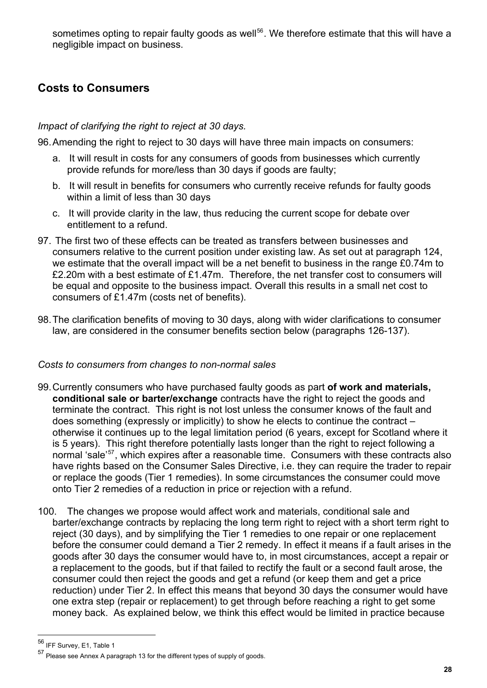sometimes opting to repair faulty goods as well<sup>56</sup>. We therefore estimate that this will have a negligible impact on business.

## <span id="page-27-0"></span>**Costs to Consumers**

#### *Impact of clarifying the right to reject at 30 days.*

96. Amending the right to reject to 30 days will have three main impacts on consumers:

- a. It will result in costs for any consumers of goods from businesses which currently provide refunds for more/less than 30 days if goods are faulty;
- b. It will result in benefits for consumers who currently receive refunds for faulty goods within a limit of less than 30 days
- c. It will provide clarity in the law, thus reducing the current scope for debate over entitlement to a refund.
- 97. The first two of these effects can be treated as transfers between businesses and consumers relative to the current position under existing law. As set out at paragraph 124, we estimate that the overall impact will be a net benefit to business in the range £0.74m to £2.20m with a best estimate of £1.47m. Therefore, the net transfer cost to consumers will be equal and opposite to the business impact. Overall this results in a small net cost to consumers of £1.47m (costs net of benefits).
- 98. The clarification benefits of moving to 30 days, along with wider clarifications to consumer law, are considered in the consumer benefits section below (paragraphs 126-137).

#### *Costs to consumers from changes to non-normal sales*

- 99. Currently consumers who have purchased faulty goods as part **of work and materials, conditional sale or barter/exchange** contracts have the right to reject the goods and terminate the contract. This right is not lost unless the consumer knows of the fault and does something (expressly or implicitly) to show he elects to continue the contract – otherwise it continues up to the legal limitation period (6 years, except for Scotland where it is 5 years). This right therefore potentially lasts longer than the right to reject following a normal 'sale<sup>'[57](#page-27-1)</sup>, which expires after a reasonable time. Consumers with these contracts also have rights based on the Consumer Sales Directive, i.e. they can require the trader to repair or replace the goods (Tier 1 remedies). In some circumstances the consumer could move onto Tier 2 remedies of a reduction in price or rejection with a refund.
- 100. The changes we propose would affect work and materials, conditional sale and barter/exchange contracts by replacing the long term right to reject with a short term right to reject (30 days), and by simplifying the Tier 1 remedies to one repair or one replacement before the consumer could demand a Tier 2 remedy. In effect it means if a fault arises in the goods after 30 days the consumer would have to, in most circumstances, accept a repair or a replacement to the goods, but if that failed to rectify the fault or a second fault arose, the consumer could then reject the goods and get a refund (or keep them and get a price reduction) under Tier 2. In effect this means that beyond 30 days the consumer would have one extra step (repair or replacement) to get through before reaching a right to get some money back. As explained below, we think this effect would be limited in practice because

<span id="page-27-2"></span><sup>56</sup> IFF Survey, E1, Table 1

<span id="page-27-1"></span><sup>57</sup> Please see Annex A paragraph 13 for the different types of supply of goods.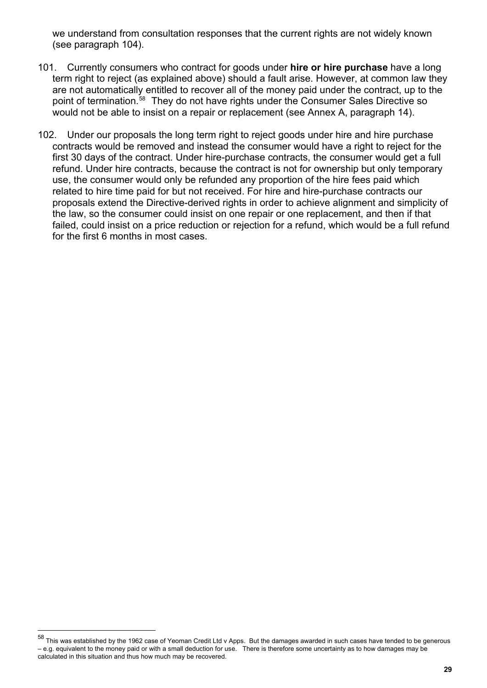we understand from consultation responses that the current rights are not widely known (see paragraph 104).

- 101. Currently consumers who contract for goods under **hire or hire purchase** have a long term right to reject (as explained above) should a fault arise. However, at common law they are not automatically entitled to recover all of the money paid under the contract, up to the point of termination.<sup>[58](#page-27-2)</sup> They do not have rights under the Consumer Sales Directive so would not be able to insist on a repair or replacement (see Annex A, paragraph 14).
- 102. Under our proposals the long term right to reject goods under hire and hire purchase contracts would be removed and instead the consumer would have a right to reject for the first 30 days of the contract. Under hire-purchase contracts, the consumer would get a full refund. Under hire contracts, because the contract is not for ownership but only temporary use, the consumer would only be refunded any proportion of the hire fees paid which related to hire time paid for but not received. For hire and hire-purchase contracts our proposals extend the Directive-derived rights in order to achieve alignment and simplicity of the law, so the consumer could insist on one repair or one replacement, and then if that failed, could insist on a price reduction or rejection for a refund, which would be a full refund for the first 6 months in most cases.

<span id="page-28-0"></span>This was established by the 1962 case of Yeoman Credit Ltd v Apps. But the damages awarded in such cases have tended to be generous – e.g. equivalent to the money paid or with a small deduction for use. There is therefore some uncertainty as to how damages may be calculated in this situation and thus how much may be recovered.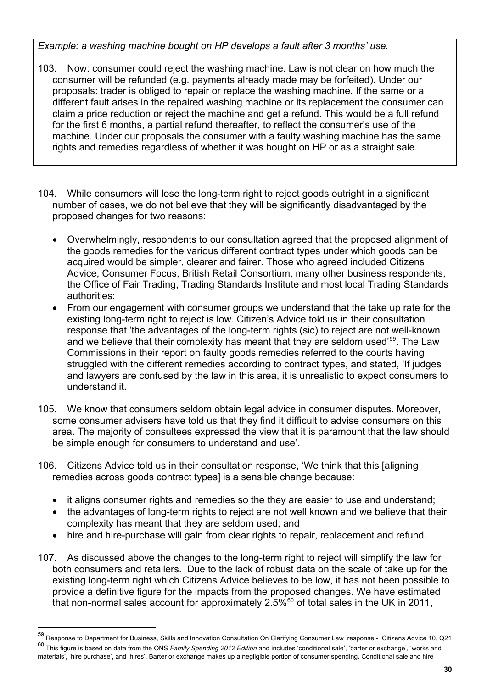*Example: a washing machine bought on HP develops a fault after 3 months' use.* 

- 103. Now: consumer could reject the washing machine. Law is not clear on how much the consumer will be refunded (e.g. payments already made may be forfeited). Under our proposals: trader is obliged to repair or replace the washing machine. If the same or a different fault arises in the repaired washing machine or its replacement the consumer can claim a price reduction or reject the machine and get a refund. This would be a full refund for the first 6 months, a partial refund thereafter, to reflect the consumer's use of the machine. Under our proposals the consumer with a faulty washing machine has the same rights and remedies regardless of whether it was bought on HP or as a straight sale.
- 104. While consumers will lose the long-term right to reject goods outright in a significant number of cases, we do not believe that they will be significantly disadvantaged by the proposed changes for two reasons:
	- Overwhelmingly, respondents to our consultation agreed that the proposed alignment of the goods remedies for the various different contract types under which goods can be acquired would be simpler, clearer and fairer. Those who agreed included Citizens Advice, Consumer Focus, British Retail Consortium, many other business respondents, the Office of Fair Trading, Trading Standards Institute and most local Trading Standards authorities;
	- From our engagement with consumer groups we understand that the take up rate for the existing long-term right to reject is low. Citizen's Advice told us in their consultation response that 'the advantages of the long-term rights (sic) to reject are not well-known and we believe that their complexity has meant that they are seldom used<sup>'[59](#page-28-0)</sup>. The Law Commissions in their report on faulty goods remedies referred to the courts having struggled with the different remedies according to contract types, and stated, 'If judges and lawyers are confused by the law in this area, it is unrealistic to expect consumers to understand it.
- 105. We know that consumers seldom obtain legal advice in consumer disputes. Moreover, some consumer advisers have told us that they find it difficult to advise consumers on this area. The majority of consultees expressed the view that it is paramount that the law should be simple enough for consumers to understand and use'.
- 106. Citizens Advice told us in their consultation response, 'We think that this [aligning remedies across goods contract types] is a sensible change because:
	- it aligns consumer rights and remedies so the they are easier to use and understand;
	- the advantages of long-term rights to reject are not well known and we believe that their complexity has meant that they are seldom used; and
	- hire and hire-purchase will gain from clear rights to repair, replacement and refund.
- 107. As discussed above the changes to the long-term right to reject will simplify the law for both consumers and retailers. Due to the lack of robust data on the scale of take up for the existing long-term right which Citizens Advice believes to be low, it has not been possible to provide a definitive figure for the impacts from the proposed changes. We have estimated that non-normal sales account for approximately  $2.5\%$ <sup>[60](#page-29-0)</sup> of total sales in the UK in 2011,

<span id="page-29-0"></span><sup>59</sup> Response to Department for Business, Skills and Innovation Consultation On Clarifying Consumer Law response - Citizens Advice 10, Q21 60 This figure is based on data from the ONS *Family Spending 2012 Edition* and includes 'conditional sale', 'barter or exchange', 'works and materials', 'hire purchase', and 'hires'. Barter or exchange makes up a negligible portion of consumer spending. Conditional sale and hire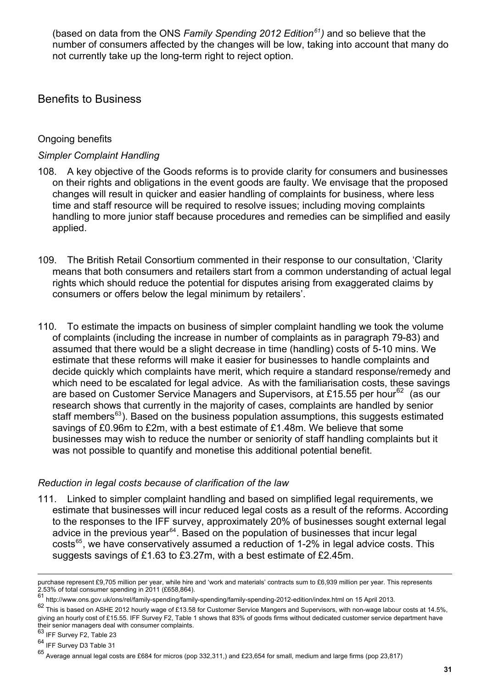(based on data from the ONS *Family Spending 2012 Edition61)* and so believe that the number of consumers affected by the changes will be low, taking into account that many do not currently take up the long-term right to reject option.

## <span id="page-30-0"></span>Benefits to Business

#### Ongoing benefits

#### *Simpler Complaint Handling*

- 108. A key objective of the Goods reforms is to provide clarity for consumers and businesses on their rights and obligations in the event goods are faulty. We envisage that the proposed changes will result in quicker and easier handling of complaints for business, where less time and staff resource will be required to resolve issues; including moving complaints handling to more junior staff because procedures and remedies can be simplified and easily applied.
- 109. The British Retail Consortium commented in their response to our consultation, 'Clarity means that both consumers and retailers start from a common understanding of actual legal rights which should reduce the potential for disputes arising from exaggerated claims by consumers or offers below the legal minimum by retailers'.
- 110. To estimate the impacts on business of simpler complaint handling we took the volume of complaints (including the increase in number of complaints as in paragraph 79-83) and assumed that there would be a slight decrease in time (handling) costs of 5-10 mins. We estimate that these reforms will make it easier for businesses to handle complaints and decide quickly which complaints have merit, which require a standard response/remedy and which need to be escalated for legal advice. As with the familiarisation costs, these savings are based on Customer Service Managers and Supervisors, at £15.55 per hour<sup>[62](#page-30-1)</sup> (as our research shows that currently in the majority of cases, complaints are handled by senior staff members<sup>[63](#page-30-2)</sup>). Based on the business population assumptions, this suggests estimated savings of £0.96m to £2m, with a best estimate of £1.48m. We believe that some businesses may wish to reduce the number or seniority of staff handling complaints but it was not possible to quantify and monetise this additional potential benefit.

#### *Reduction in legal costs because of clarification of the law*

111. Linked to simpler complaint handling and based on simplified legal requirements, we estimate that businesses will incur reduced legal costs as a result of the reforms. According to the responses to the IFF survey, approximately 20% of businesses sought external legal advice in the previous year<sup>[64](#page-30-3)</sup>. Based on the population of businesses that incur legal costs<sup>[65](#page-30-4)</sup>, we have conservatively assumed a reduction of 1-2% in legal advice costs. This suggests savings of £1.63 to £3.27m, with a best estimate of £2.45m.

purchase represent £9,705 million per year, while hire and 'work and materials' contracts sum to £6,939 million per year. This represents 2.53% of total consumer spending in 2011 (£658,864).

<sup>61</sup> http://www.ons.gov.uk/ons/rel/family-spending/family-spending/family-spending-2012-edition/index.html on 15 April 2013.

<span id="page-30-1"></span><sup>62</sup> This is based on ASHE 2012 hourly wage of £13.58 for Customer Service Mangers and Supervisors, with non-wage labour costs at 14.5%, giving an hourly cost of £15.55. IFF Survey F2, Table 1 shows that 83% of goods firms without dedicated customer service department have their senior managers deal with consumer complaints.

<span id="page-30-2"></span><sup>63</sup> IFF Survey F2, Table 23

<span id="page-30-3"></span><sup>&</sup>lt;sup>64</sup> IFF Survey D3 Table 31

<span id="page-30-4"></span> $65$  Average annual legal costs are £684 for micros (pop 332,311,) and £23,654 for small, medium and large firms (pop 23,817)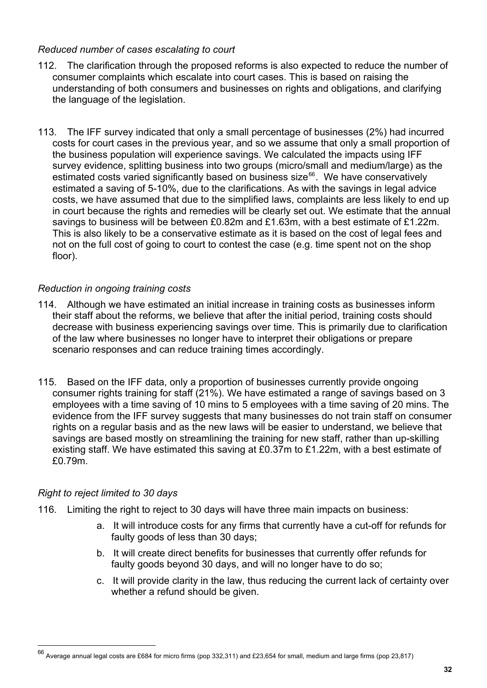#### *Reduced number of cases escalating to court*

- 112. The clarification through the proposed reforms is also expected to reduce the number of consumer complaints which escalate into court cases. This is based on raising the understanding of both consumers and businesses on rights and obligations, and clarifying the language of the legislation.
- 113. The IFF survey indicated that only a small percentage of businesses (2%) had incurred costs for court cases in the previous year, and so we assume that only a small proportion of the business population will experience savings. We calculated the impacts using IFF survey evidence, splitting business into two groups (micro/small and medium/large) as the estimated costs varied significantly based on business size<sup>[66](#page-30-4)</sup>. We have conservatively estimated a saving of 5-10%, due to the clarifications. As with the savings in legal advice costs, we have assumed that due to the simplified laws, complaints are less likely to end up in court because the rights and remedies will be clearly set out. We estimate that the annual savings to business will be between £0.82m and £1.63m, with a best estimate of £1.22m. This is also likely to be a conservative estimate as it is based on the cost of legal fees and not on the full cost of going to court to contest the case (e.g. time spent not on the shop floor).

#### *Reduction in ongoing training costs*

- 114. Although we have estimated an initial increase in training costs as businesses inform their staff about the reforms, we believe that after the initial period, training costs should decrease with business experiencing savings over time. This is primarily due to clarification of the law where businesses no longer have to interpret their obligations or prepare scenario responses and can reduce training times accordingly.
- 115. Based on the IFF data, only a proportion of businesses currently provide ongoing consumer rights training for staff (21%). We have estimated a range of savings based on 3 employees with a time saving of 10 mins to 5 employees with a time saving of 20 mins. The evidence from the IFF survey suggests that many businesses do not train staff on consumer rights on a regular basis and as the new laws will be easier to understand, we believe that savings are based mostly on streamlining the training for new staff, rather than up-skilling existing staff. We have estimated this saving at £0.37m to £1.22m, with a best estimate of £0.79m.

#### *Right to reject limited to 30 days*

- 116. Limiting the right to reject to 30 days will have three main impacts on business:
	- a. It will introduce costs for any firms that currently have a cut-off for refunds for faulty goods of less than 30 days;
	- b. It will create direct benefits for businesses that currently offer refunds for faulty goods beyond 30 days, and will no longer have to do so;
	- c. It will provide clarity in the law, thus reducing the current lack of certainty over whether a refund should be given.

<span id="page-31-0"></span><sup>66</sup> Average annual legal costs are £684 for micro firms (pop 332,311) and £23,654 for small, medium and large firms (pop 23,817)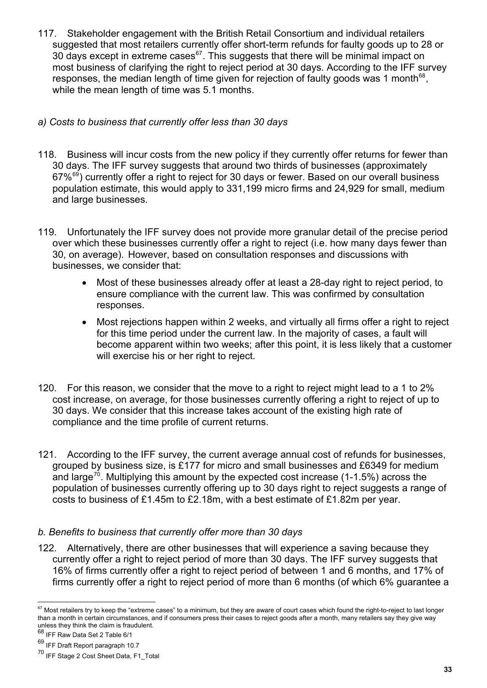- 117. Stakeholder engagement with the British Retail Consortium and individual retailers suggested that most retailers currently offer short-term refunds for faulty goods up to 28 or  $30$  days except in extreme cases<sup>[67](#page-31-0)</sup>. This suggests that there will be minimal impact on most business of clarifying the right to reject period at 30 days. According to the IFF survey responses, the median length of time given for rejection of faulty goods was 1 month $^{68}$  $^{68}$  $^{68}$ . while the mean length of time was 5.1 months.
- *a) Costs to business that currently offer less than 30 days*
- 118. Business will incur costs from the new policy if they currently offer returns for fewer than 30 days. The IFF survey suggests that around two thirds of businesses (approximately  $67\%$ <sup>[69](#page-32-1)</sup>) currently offer a right to reject for 30 days or fewer. Based on our overall business population estimate, this would apply to 331,199 micro firms and 24,929 for small, medium and large businesses.
- 119. Unfortunately the IFF survey does not provide more granular detail of the precise period over which these businesses currently offer a right to reject (i.e. how many days fewer than 30, on average). However, based on consultation responses and discussions with businesses, we consider that:
	- Most of these businesses already offer at least a 28-day right to reject period, to ensure compliance with the current law. This was confirmed by consultation responses.
	- Most rejections happen within 2 weeks, and virtually all firms offer a right to reject for this time period under the current law. In the majority of cases, a fault will become apparent within two weeks; after this point, it is less likely that a customer will exercise his or her right to reject.
- 120. For this reason, we consider that the move to a right to reject might lead to a 1 to 2% cost increase, on average, for those businesses currently offering a right to reject of up to 30 days. We consider that this increase takes account of the existing high rate of compliance and the time profile of current returns.
- 121. According to the IFF survey, the current average annual cost of refunds for businesses, grouped by business size, is £177 for micro and small businesses and £6349 for medium and large<sup>[70](#page-32-2)</sup>. Multiplying this amount by the expected cost increase (1-1.5%) across the population of businesses currently offering up to 30 days right to reject suggests a range of costs to business of £1.45m to £2.18m, with a best estimate of £1.82m per year.

## *b. Benefits to business that currently offer more than 30 days*

122. Alternatively, there are other businesses that will experience a saving because they currently offer a right to reject period of more than 30 days. The IFF survey suggests that 16% of firms currently offer a right to reject period of between 1 and 6 months, and 17% of firms currently offer a right to reject period of more than 6 months (of which 6% guarantee a

 $\overline{a}$  $67$  Most retailers try to keep the "extreme cases" to a minimum, but they are aware of court cases which found the right-to-reject to last longer than a month in certain circumstances, and if consumers press their cases to reject goods after a month, many retailers say they give way unless they think the claim is fraudulent.

<span id="page-32-0"></span><sup>68</sup> IFF Raw Data Set 2 Table 6/1

<span id="page-32-1"></span><sup>69</sup> IFF Draft Report paragraph 10.7

<span id="page-32-2"></span><sup>70</sup> IFF Stage 2 Cost Sheet Data, F1\_Total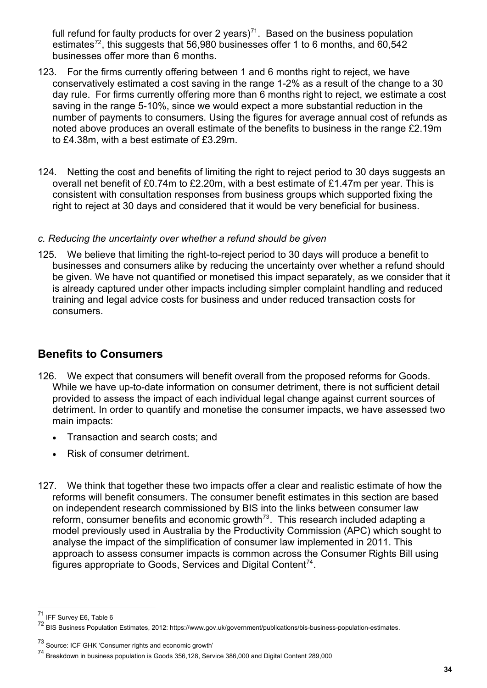full refund for faulty products for over 2 years)<sup>71</sup>. Based on the business population estimates<sup>72</sup>, this suggests that 56,980 businesses offer 1 to 6 months, and 60,542 businesses offer more than 6 months.

- 123. For the firms currently offering between 1 and 6 months right to reject, we have conservatively estimated a cost saving in the range 1-2% as a result of the change to a 30 day rule. For firms currently offering more than 6 months right to reject, we estimate a cost saving in the range 5-10%, since we would expect a more substantial reduction in the number of payments to consumers. Using the figures for average annual cost of refunds as noted above produces an overall estimate of the benefits to business in the range £2.19m to £4.38m, with a best estimate of £3.29m.
- 124. Netting the cost and benefits of limiting the right to reject period to 30 days suggests an overall net benefit of £0.74m to £2.20m, with a best estimate of £1.47m per year. This is consistent with consultation responses from business groups which supported fixing the right to reject at 30 days and considered that it would be very beneficial for business.

#### *c. Reducing the uncertainty over whether a refund should be given*

125. We believe that limiting the right-to-reject period to 30 days will produce a benefit to businesses and consumers alike by reducing the uncertainty over whether a refund should be given. We have not quantified or monetised this impact separately, as we consider that it is already captured under other impacts including simpler complaint handling and reduced training and legal advice costs for business and under reduced transaction costs for consumers.

## <span id="page-33-0"></span>**Benefits to Consumers**

- 126. We expect that consumers will benefit overall from the proposed reforms for Goods. While we have up-to-date information on consumer detriment, there is not sufficient detail provided to assess the impact of each individual legal change against current sources of detriment. In order to quantify and monetise the consumer impacts, we have assessed two main impacts:
	- Transaction and search costs; and
	- Risk of consumer detriment.
- 127. We think that together these two impacts offer a clear and realistic estimate of how the reforms will benefit consumers. The consumer benefit estimates in this section are based on independent research commissioned by BIS into the links between consumer law reform, consumer benefits and economic growth<sup>73</sup>. This research included adapting a model previously used in Australia by the Productivity Commission (APC) which sought to analyse the impact of the simplification of consumer law implemented in 2011. This approach to assess consumer impacts is common across the Consumer Rights Bill using figures appropriate to Goods, Services and Digital Content<sup>[74](#page-33-2)</sup>.

<sup>71</sup> IFF Survey E6, Table 6

<sup>72</sup> BIS Business Population Estimates, 2012: https://www.gov.uk/government/publications/bis-business-population-estimates.

<span id="page-33-1"></span><sup>73</sup> Source: ICF GHK 'Consumer rights and economic growth'

<span id="page-33-2"></span><sup>74</sup> Breakdown in business population is Goods 356,128, Service 386,000 and Digital Content 289,000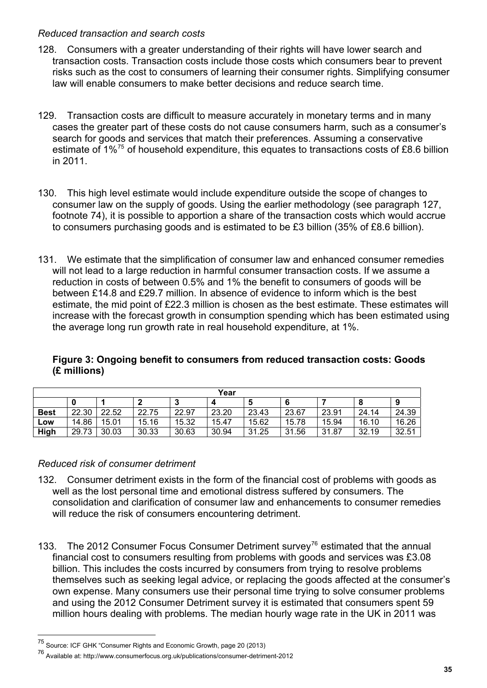#### *Reduced transaction and search costs*

- 128. Consumers with a greater understanding of their rights will have lower search and transaction costs. Transaction costs include those costs which consumers bear to prevent risks such as the cost to consumers of learning their consumer rights. Simplifying consumer law will enable consumers to make better decisions and reduce search time.
- 129. Transaction costs are difficult to measure accurately in monetary terms and in many cases the greater part of these costs do not cause consumers harm, such as a consumer's search for goods and services that match their preferences. Assuming a conservative estimate of  $1\%$ <sup>[75](#page-33-1)</sup> of household expenditure, this equates to transactions costs of £8.6 billion in 2011.
- 130. This high level estimate would include expenditure outside the scope of changes to consumer law on the supply of goods. Using the earlier methodology (see paragraph 127, footnote 74), it is possible to apportion a share of the transaction costs which would accrue to consumers purchasing goods and is estimated to be £3 billion (35% of £8.6 billion).
- 131. We estimate that the simplification of consumer law and enhanced consumer remedies will not lead to a large reduction in harmful consumer transaction costs. If we assume a reduction in costs of between 0.5% and 1% the benefit to consumers of goods will be between £14.8 and £29.7 million. In absence of evidence to inform which is the best estimate, the mid point of £22.3 million is chosen as the best estimate. These estimates will increase with the forecast growth in consumption spending which has been estimated using the average long run growth rate in real household expenditure, at 1%.

#### **Figure 3: Ongoing benefit to consumers from reduced transaction costs: Goods (£ millions)**

| Year        |       |       |       |       |       |       |       |       |       |       |
|-------------|-------|-------|-------|-------|-------|-------|-------|-------|-------|-------|
|             |       |       | າ     |       | 4     |       |       |       |       | 9     |
| <b>Best</b> | 22.30 | 22.52 | 22.75 | 22.97 | 23.20 | 23.43 | 23.67 | 23.91 | 24.14 | 24.39 |
| LOW         | 14.86 | 15.01 | 15.16 | 15.32 | 15.47 | 15.62 | 15.78 | 15.94 | 16.10 | 16.26 |
| High        | 29.73 | 30.03 | 30.33 | 30.63 | 30.94 | 31.25 | 31.56 | 31.87 | 32.19 | 32.51 |

#### *Reduced risk of consumer detriment*

- 132. Consumer detriment exists in the form of the financial cost of problems with goods as well as the lost personal time and emotional distress suffered by consumers. The consolidation and clarification of consumer law and enhancements to consumer remedies will reduce the risk of consumers encountering detriment.
- 133. The 2012 Consumer Focus Consumer Detriment survey<sup>[76](#page-34-0)</sup> estimated that the annual financial cost to consumers resulting from problems with goods and services was £3.08 billion. This includes the costs incurred by consumers from trying to resolve problems themselves such as seeking legal advice, or replacing the goods affected at the consumer's own expense. Many consumers use their personal time trying to solve consumer problems and using the 2012 Consumer Detriment survey it is estimated that consumers spent 59 million hours dealing with problems. The median hourly wage rate in the UK in 2011 was

<sup>&</sup>lt;sup>75</sup> Source: ICF GHK "Consumer Rights and Economic Growth, page 20 (2013)

<span id="page-34-0"></span><sup>76</sup> Available at: http://www.consumerfocus.org.uk/publications/consumer-detriment-2012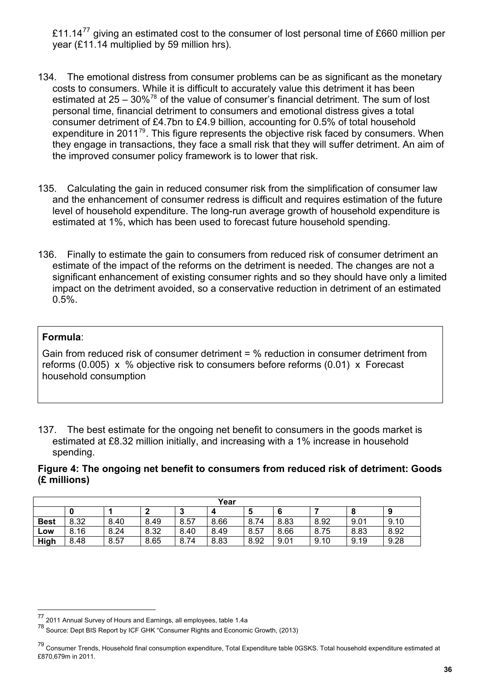£11.14 $^{77}$  giving an estimated cost to the consumer of lost personal time of £660 million per year (£11.14 multiplied by 59 million hrs).

- 134. The emotional distress from consumer problems can be as significant as the monetary costs to consumers. While it is difficult to accurately value this detriment it has been estimated at  $25 - 30\%$ <sup>[78](#page-35-0)</sup> of the value of consumer's financial detriment. The sum of lost personal time, financial detriment to consumers and emotional distress gives a total consumer detriment of £4.7bn to £4.9 billion, accounting for 0.5% of total household expenditure in 2011<sup>[79](#page-35-1)</sup>. This figure represents the objective risk faced by consumers. When they engage in transactions, they face a small risk that they will suffer detriment. An aim of the improved consumer policy framework is to lower that risk.
- 135. Calculating the gain in reduced consumer risk from the simplification of consumer law and the enhancement of consumer redress is difficult and requires estimation of the future level of household expenditure. The long-run average growth of household expenditure is estimated at 1%, which has been used to forecast future household spending.
- 136. Finally to estimate the gain to consumers from reduced risk of consumer detriment an estimate of the impact of the reforms on the detriment is needed. The changes are not a significant enhancement of existing consumer rights and so they should have only a limited impact on the detriment avoided, so a conservative reduction in detriment of an estimated 0.5%.

#### **Formula**:

<span id="page-35-2"></span> $\overline{a}$ 

Gain from reduced risk of consumer detriment = % reduction in consumer detriment from reforms (0.005) x % objective risk to consumers before reforms (0.01) x Forecast household consumption

137. The best estimate for the ongoing net benefit to consumers in the goods market is estimated at £8.32 million initially, and increasing with a 1% increase in household spending.

**Figure 4: The ongoing net benefit to consumers from reduced risk of detriment: Goods (£ millions)** 

| Year        |      |      |      |        |      |      |      |      |      |      |
|-------------|------|------|------|--------|------|------|------|------|------|------|
|             |      |      |      | э<br>м | 4    | 5    | 6    |      | 8    | g    |
| <b>Best</b> | 8.32 | 8.40 | 8.49 | 8.57   | 8.66 | 8.74 | 8.83 | 8.92 | 9.01 | 9.10 |
| LOW         | 8.16 | 8.24 | 8.32 | 8.40   | 8.49 | 8.57 | 8.66 | 8.75 | 8.83 | 8.92 |
| High        | 8.48 | 8.57 | 8.65 | 8.74   | 8.83 | 8.92 | 9.01 | 9.10 | 9.19 | 9.28 |

<sup>77 2011</sup> Annual Survey of Hours and Earnings, all employees, table 1.4a

<span id="page-35-0"></span><sup>78&</sup>lt;br>The Source: Dept BIS Report by ICF GHK "Consumer Rights and Economic Growth, (2013)

<span id="page-35-1"></span><sup>&</sup>lt;sup>79</sup> Consumer Trends, Household final consumption expenditure, Total Expenditure table 0GSKS. Total household expenditure estimated at £870,679m in 2011.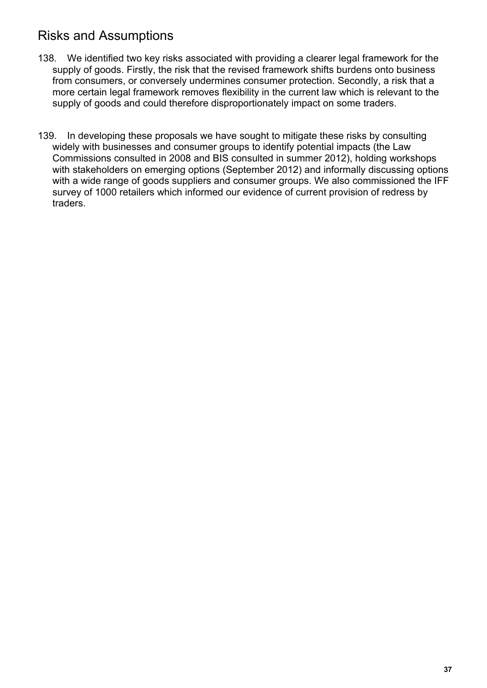# <span id="page-36-0"></span>Risks and Assumptions

- 138. We identified two key risks associated with providing a clearer legal framework for the supply of goods. Firstly, the risk that the revised framework shifts burdens onto business from consumers, or conversely undermines consumer protection. Secondly, a risk that a more certain legal framework removes flexibility in the current law which is relevant to the supply of goods and could therefore disproportionately impact on some traders.
- 139. In developing these proposals we have sought to mitigate these risks by consulting widely with businesses and consumer groups to identify potential impacts (the Law Commissions consulted in 2008 and BIS consulted in summer 2012), holding workshops with stakeholders on emerging options (September 2012) and informally discussing options with a wide range of goods suppliers and consumer groups. We also commissioned the IFF survey of 1000 retailers which informed our evidence of current provision of redress by traders.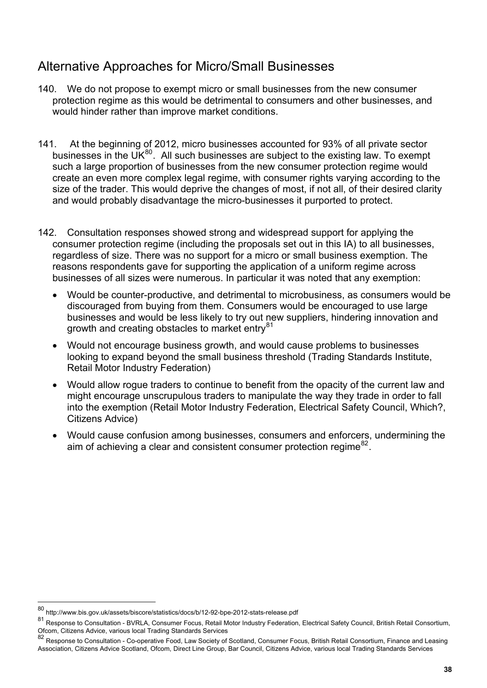# <span id="page-37-0"></span>Alternative Approaches for Micro/Small Businesses

- 140. We do not propose to exempt micro or small businesses from the new consumer protection regime as this would be detrimental to consumers and other businesses, and would hinder rather than improve market conditions.
- 141. At the beginning of 2012, micro businesses accounted for 93% of all private sector businesses in the UK $^{80}$  $^{80}$  $^{80}$ . All such businesses are subject to the existing law. To exempt such a large proportion of businesses from the new consumer protection regime would create an even more complex legal regime, with consumer rights varying according to the size of the trader. This would deprive the changes of most, if not all, of their desired clarity and would probably disadvantage the micro-businesses it purported to protect.
- 142. Consultation responses showed strong and widespread support for applying the consumer protection regime (including the proposals set out in this IA) to all businesses, regardless of size. There was no support for a micro or small business exemption. The reasons respondents gave for supporting the application of a uniform regime across businesses of all sizes were numerous. In particular it was noted that any exemption:
	- Would be counter-productive, and detrimental to microbusiness, as consumers would be discouraged from buying from them. Consumers would be encouraged to use large businesses and would be less likely to try out new suppliers, hindering innovation and growth and creating obstacles to market entry $81$
	- Would not encourage business growth, and would cause problems to businesses looking to expand beyond the small business threshold (Trading Standards Institute, Retail Motor Industry Federation)
	- Would allow rogue traders to continue to benefit from the opacity of the current law and might encourage unscrupulous traders to manipulate the way they trade in order to fall into the exemption (Retail Motor Industry Federation, Electrical Safety Council, Which?, Citizens Advice)
	- Would cause confusion among businesses, consumers and enforcers, undermining the aim of achieving a clear and consistent consumer protection regime  $82$ .

<sup>80</sup> http://www.bis.gov.uk/assets/biscore/statistics/docs/b/12-92-bpe-2012-stats-release.pdf

<span id="page-37-1"></span><sup>81</sup> Response to Consultation - BVRLA, Consumer Focus, Retail Motor Industry Federation, Electrical Safety Council, British Retail Consortium, Ofcom, Citizens Advice, various local Trading Standards Services

<span id="page-37-2"></span><sup>82</sup> Response to Consultation - Co-operative Food, Law Society of Scotland, Consumer Focus, British Retail Consortium, Finance and Leasing Association, Citizens Advice Scotland, Ofcom, Direct Line Group, Bar Council, Citizens Advice, various local Trading Standards Services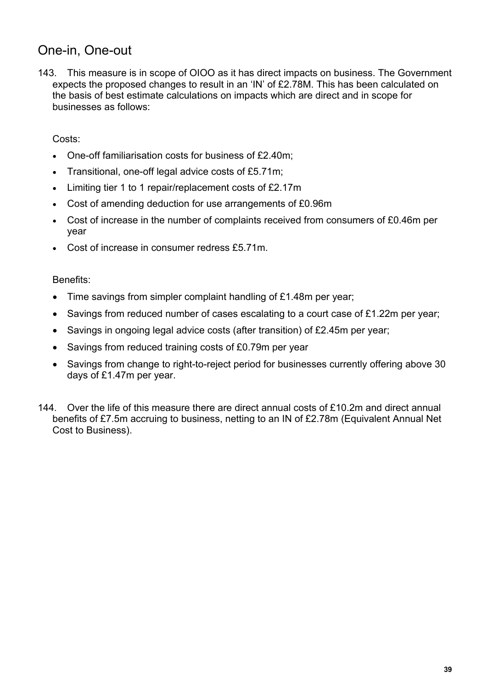# <span id="page-38-0"></span>One-in, One-out

143. This measure is in scope of OIOO as it has direct impacts on business. The Government expects the proposed changes to result in an 'IN' of £2.78M. This has been calculated on the basis of best estimate calculations on impacts which are direct and in scope for businesses as follows:

#### Costs:

- One-off familiarisation costs for business of £2.40m;
- Transitional, one-off legal advice costs of £5.71m;
- Limiting tier 1 to 1 repair/replacement costs of £2.17m
- Cost of amending deduction for use arrangements of £0.96m
- Cost of increase in the number of complaints received from consumers of £0.46m per year
- Cost of increase in consumer redress £5.71m.

#### Benefits:

- Time savings from simpler complaint handling of £1.48m per year;
- Savings from reduced number of cases escalating to a court case of £1.22m per year;
- Savings in ongoing legal advice costs (after transition) of £2.45m per year;
- Savings from reduced training costs of £0.79m per year
- Savings from change to right-to-reject period for businesses currently offering above 30 days of £1.47m per year.
- 144. Over the life of this measure there are direct annual costs of £10.2m and direct annual benefits of £7.5m accruing to business, netting to an IN of £2.78m (Equivalent Annual Net Cost to Business).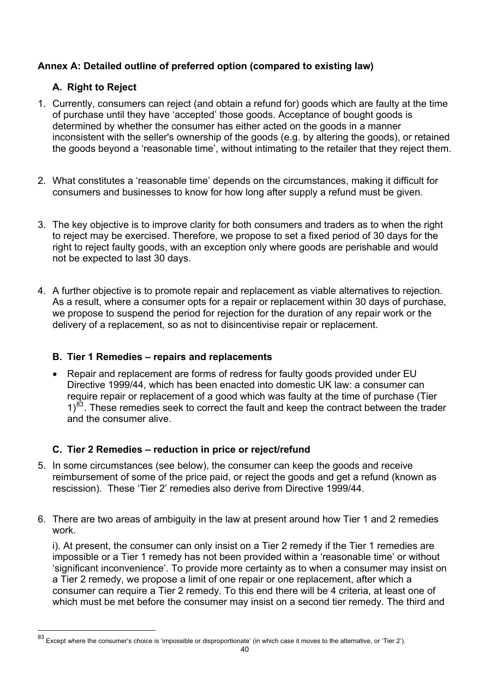## <span id="page-39-0"></span>**Annex A: Detailed outline of preferred option (compared to existing law)**

## **A. Right to Reject**

- <span id="page-39-1"></span>1. Currently, consumers can reject (and obtain a refund for) goods which are faulty at the time of purchase until they have 'accepted' those goods. Acceptance of bought goods is determined by whether the consumer has either acted on the goods in a manner inconsistent with the seller's ownership of the goods (e.g. by altering the goods), or retained the goods beyond a 'reasonable time', without intimating to the retailer that they reject them.
- 2. What constitutes a 'reasonable time' depends on the circumstances, making it difficult for consumers and businesses to know for how long after supply a refund must be given.
- 3. The key objective is to improve clarity for both consumers and traders as to when the right to reject may be exercised. Therefore, we propose to set a fixed period of 30 days for the right to reject faulty goods, with an exception only where goods are perishable and would not be expected to last 30 days.
- 4. A further objective is to promote repair and replacement as viable alternatives to rejection. As a result, where a consumer opts for a repair or replacement within 30 days of purchase, we propose to suspend the period for rejection for the duration of any repair work or the delivery of a replacement, so as not to disincentivise repair or replacement.

## <span id="page-39-2"></span>**B. Tier 1 Remedies – repairs and replacements**

• Repair and replacement are forms of redress for faulty goods provided under EU Directive 1999/44, which has been enacted into domestic UK law: a consumer can require repair or replacement of a good which was faulty at the time of purchase (Tier  $1)^{83}$  $1)^{83}$  $1)^{83}$ . These remedies seek to correct the fault and keep the contract between the trader and the consumer alive.

## **C. Tier 2 Remedies – reduction in price or reject/refund**

- <span id="page-39-3"></span>5. In some circumstances (see below), the consumer can keep the goods and receive reimbursement of some of the price paid, or reject the goods and get a refund (known as rescission). These 'Tier 2' remedies also derive from Directive 1999/44.
- 6. There are two areas of ambiguity in the law at present around how Tier 1 and 2 remedies work.

i). At present, the consumer can only insist on a Tier 2 remedy if the Tier 1 remedies are impossible or a Tier 1 remedy has not been provided within a 'reasonable time' or without 'significant inconvenience'. To provide more certainty as to when a consumer may insist on a Tier 2 remedy, we propose a limit of one repair or one replacement, after which a consumer can require a Tier 2 remedy. To this end there will be 4 criteria, at least one of which must be met before the consumer may insist on a second tier remedy. The third and

Except where the consumer's choice is 'impossible or disproportionate' (in which case it moves to the alternative, or 'Tier 2').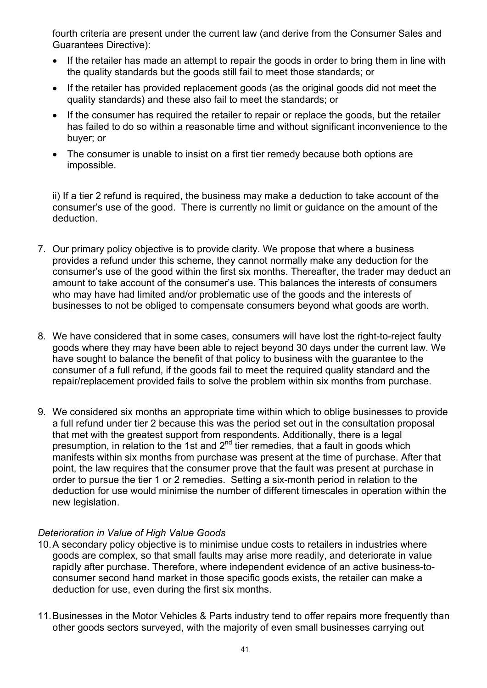fourth criteria are present under the current law (and derive from the Consumer Sales and Guarantees Directive):

- If the retailer has made an attempt to repair the goods in order to bring them in line with the quality standards but the goods still fail to meet those standards; or
- If the retailer has provided replacement goods (as the original goods did not meet the quality standards) and these also fail to meet the standards; or
- If the consumer has required the retailer to repair or replace the goods, but the retailer has failed to do so within a reasonable time and without significant inconvenience to the buyer; or
- The consumer is unable to insist on a first tier remedy because both options are impossible.

ii) If a tier 2 refund is required, the business may make a deduction to take account of the consumer's use of the good. There is currently no limit or guidance on the amount of the deduction.

- 7. Our primary policy objective is to provide clarity. We propose that where a business provides a refund under this scheme, they cannot normally make any deduction for the consumer's use of the good within the first six months. Thereafter, the trader may deduct an amount to take account of the consumer's use. This balances the interests of consumers who may have had limited and/or problematic use of the goods and the interests of businesses to not be obliged to compensate consumers beyond what goods are worth.
- 8. We have considered that in some cases, consumers will have lost the right-to-reject faulty goods where they may have been able to reject beyond 30 days under the current law. We have sought to balance the benefit of that policy to business with the guarantee to the consumer of a full refund, if the goods fail to meet the required quality standard and the repair/replacement provided fails to solve the problem within six months from purchase.
- 9. We considered six months an appropriate time within which to oblige businesses to provide a full refund under tier 2 because this was the period set out in the consultation proposal that met with the greatest support from respondents. Additionally, there is a legal presumption, in relation to the 1st and  $2<sup>nd</sup>$  tier remedies, that a fault in goods which manifests within six months from purchase was present at the time of purchase. After that point, the law requires that the consumer prove that the fault was present at purchase in order to pursue the tier 1 or 2 remedies. Setting a six-month period in relation to the deduction for use would minimise the number of different timescales in operation within the new legislation.

#### *Deterioration in Value of High Value Goods*

- 10. A secondary policy objective is to minimise undue costs to retailers in industries where goods are complex, so that small faults may arise more readily, and deteriorate in value rapidly after purchase. Therefore, where independent evidence of an active business-toconsumer second hand market in those specific goods exists, the retailer can make a deduction for use, even during the first six months.
- 11. Businesses in the Motor Vehicles & Parts industry tend to offer repairs more frequently than other goods sectors surveyed, with the majority of even small businesses carrying out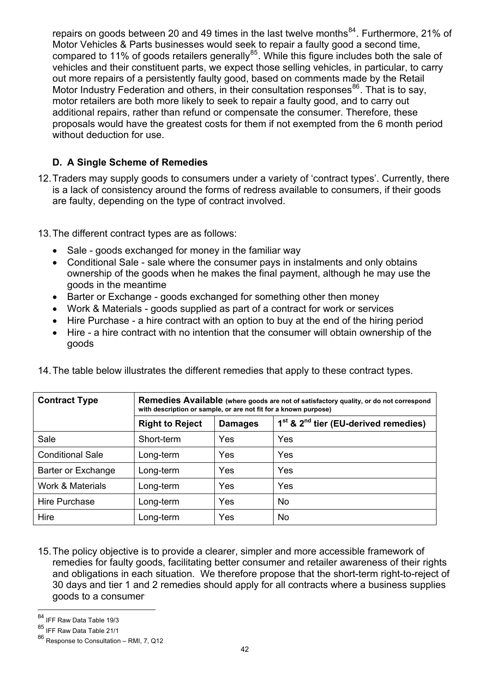repairs on goods between 20 and 49 times in the last twelve months $^{84}$ . Furthermore, 21% of Motor Vehicles & Parts businesses would seek to repair a faulty good a second time, compared to 11% of goods retailers generally<sup>85</sup>. While this figure includes both the sale of vehicles and their constituent parts, we expect those selling vehicles, in particular, to carry out more repairs of a persistently faulty good, based on comments made by the Retail Motor Industry Federation and others, in their consultation responses<sup>86</sup>. That is to say, motor retailers are both more likely to seek to repair a faulty good, and to carry out additional repairs, rather than refund or compensate the consumer. Therefore, these proposals would have the greatest costs for them if not exempted from the 6 month period without deduction for use.

#### **D. A Single Scheme of Remedies**

<span id="page-41-0"></span>12. Traders may supply goods to consumers under a variety of 'contract types'. Currently, there is a lack of consistency around the forms of redress available to consumers, if their goods are faulty, depending on the type of contract involved.

13. The different contract types are as follows:

- Sale goods exchanged for money in the familiar way
- Conditional Sale sale where the consumer pays in instalments and only obtains ownership of the goods when he makes the final payment, although he may use the goods in the meantime
- Barter or Exchange goods exchanged for something other then money
- Work & Materials goods supplied as part of a contract for work or services
- Hire Purchase a hire contract with an option to buy at the end of the hiring period
- Hire a hire contract with no intention that the consumer will obtain ownership of the goods

| <b>Contract Type</b>    | Remedies Available (where goods are not of satisfactory quality, or do not correspond<br>with description or sample, or are not fit for a known purpose) |                |                                          |  |  |  |  |  |
|-------------------------|----------------------------------------------------------------------------------------------------------------------------------------------------------|----------------|------------------------------------------|--|--|--|--|--|
|                         | <b>Right to Reject</b>                                                                                                                                   | <b>Damages</b> | $1st$ & $2nd$ tier (EU-derived remedies) |  |  |  |  |  |
| Sale                    | Short-term                                                                                                                                               | Yes            | Yes                                      |  |  |  |  |  |
| <b>Conditional Sale</b> | Long-term                                                                                                                                                | Yes            | Yes                                      |  |  |  |  |  |
| Barter or Exchange      | Long-term                                                                                                                                                | Yes            | Yes                                      |  |  |  |  |  |
| Work & Materials        | Long-term                                                                                                                                                | Yes            | Yes                                      |  |  |  |  |  |
| Hire Purchase           | Long-term                                                                                                                                                | Yes            | No.                                      |  |  |  |  |  |
| Hire                    | Long-term                                                                                                                                                | Yes            | <b>No</b>                                |  |  |  |  |  |

14. The table below illustrates the different remedies that apply to these contract types.

15. The policy objective is to provide a clearer, simpler and more accessible framework of remedies for faulty goods, facilitating better consumer and retailer awareness of their rights and obligations in each situation. We therefore propose that the short-term right-to-reject of 30 days and tier 1 and 2 remedies should apply for all contracts where a business supplies goods to a consumer.

<sup>84</sup> IFF Raw Data Table 19/3

<span id="page-41-1"></span><sup>85</sup> IFF Raw Data Table 21/1

<sup>86</sup> Response to Consultation – RMI, 7, Q12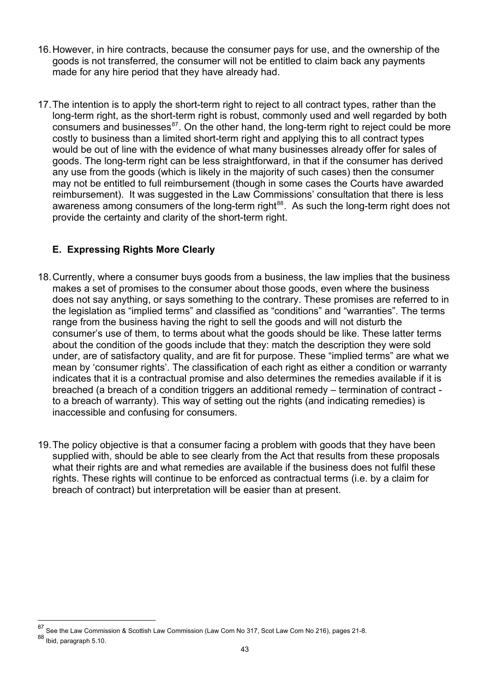- 16.However, in hire contracts, because the consumer pays for use, and the ownership of the goods is not transferred, the consumer will not be entitled to claim back any payments made for any hire period that they have already had.
- 17. The intention is to apply the short-term right to reject to all contract types, rather than the long-term right, as the short-term right is robust, commonly used and well regarded by both consumers and businesses $87$ . On the other hand, the long-term right to reject could be more costly to business than a limited short-term right and applying this to all contract types would be out of line with the evidence of what many businesses already offer for sales of goods. The long-term right can be less straightforward, in that if the consumer has derived any use from the goods (which is likely in the majority of such cases) then the consumer may not be entitled to full reimbursement (though in some cases the Courts have awarded reimbursement). It was suggested in the Law Commissions' consultation that there is less awareness among consumers of the long-term right $^{88}$  $^{88}$  $^{88}$ . As such the long-term right does not provide the certainty and clarity of the short-term right.

## **E. Expressing Rights More Clearly**

- <span id="page-42-0"></span>18. Currently, where a consumer buys goods from a business, the law implies that the business makes a set of promises to the consumer about those goods, even where the business does not say anything, or says something to the contrary. These promises are referred to in the legislation as "implied terms" and classified as "conditions" and "warranties". The terms range from the business having the right to sell the goods and will not disturb the consumer's use of them, to terms about what the goods should be like. These latter terms about the condition of the goods include that they: match the description they were sold under, are of satisfactory quality, and are fit for purpose. These "implied terms" are what we mean by 'consumer rights'. The classification of each right as either a condition or warranty indicates that it is a contractual promise and also determines the remedies available if it is breached (a breach of a condition triggers an additional remedy – termination of contract to a breach of warranty). This way of setting out the rights (and indicating remedies) is inaccessible and confusing for consumers.
- 19. The policy objective is that a consumer facing a problem with goods that they have been supplied with, should be able to see clearly from the Act that results from these proposals what their rights are and what remedies are available if the business does not fulfil these rights. These rights will continue to be enforced as contractual terms (i.e. by a claim for breach of contract) but interpretation will be easier than at present.

<span id="page-42-1"></span>See the Law Commission & Scottish Law Commission (Law Com No 317, Scot Law Com No 216), pages 21-8. 88 Ibid, paragraph 5.10.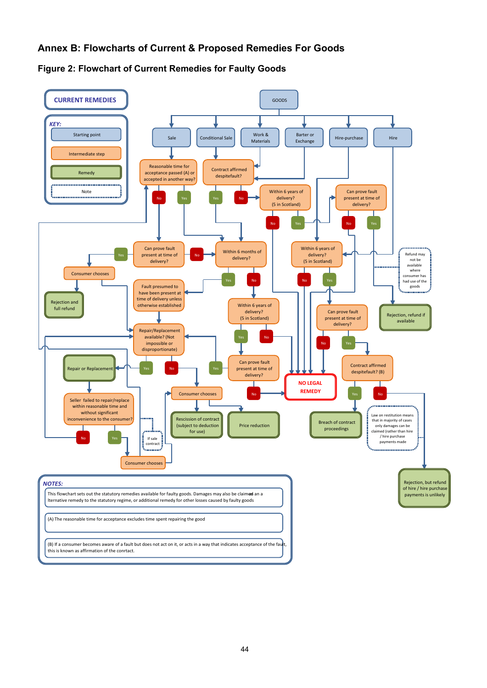#### **Annex B: Flowcharts of Current & Proposed Remedies For Goods**

<span id="page-43-0"></span>

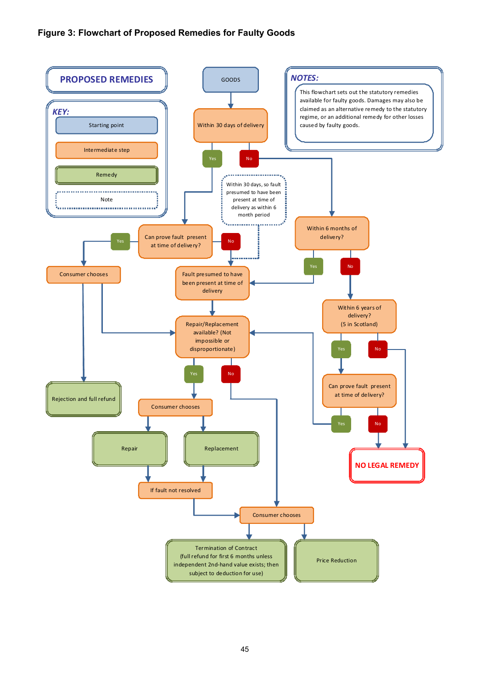#### **Figure 3: Flowchart of Proposed Remedies for Faulty Goods**

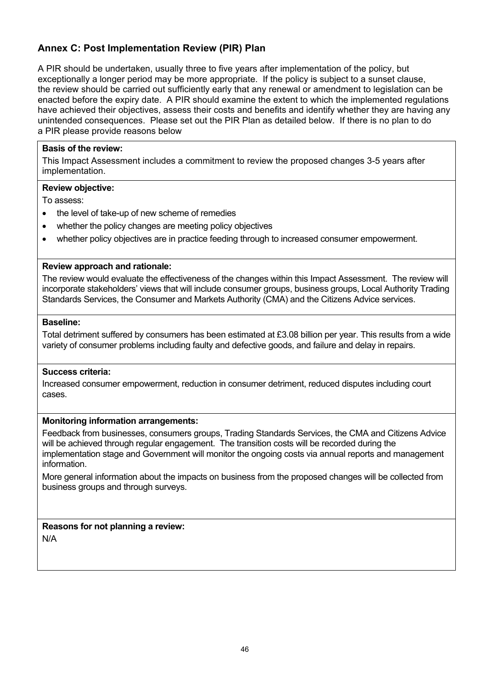#### <span id="page-45-0"></span>**Annex C: Post Implementation Review (PIR) Plan**

A PIR should be undertaken, usually three to five years after implementation of the policy, but exceptionally a longer period may be more appropriate. If the policy is subject to a sunset clause, the review should be carried out sufficiently early that any renewal or amendment to legislation can be enacted before the expiry date. A PIR should examine the extent to which the implemented regulations have achieved their objectives, assess their costs and benefits and identify whether they are having any unintended consequences. Please set out the PIR Plan as detailed below. If there is no plan to do a PIR please provide reasons below

#### **Basis of the review:**

This Impact Assessment includes a commitment to review the proposed changes 3-5 years after implementation.

#### **Review objective:**

To assess:

- the level of take-up of new scheme of remedies
- whether the policy changes are meeting policy objectives
- whether policy objectives are in practice feeding through to increased consumer empowerment.

#### **Review approach and rationale:**

The review would evaluate the effectiveness of the changes within this Impact Assessment. The review will incorporate stakeholders' views that will include consumer groups, business groups, Local Authority Trading Standards Services, the Consumer and Markets Authority (CMA) and the Citizens Advice services.

#### **Baseline:**

Total detriment suffered by consumers has been estimated at £3.08 billion per year. This results from a wide variety of consumer problems including faulty and defective goods, and failure and delay in repairs.

#### **Success criteria:**

Increased consumer empowerment, reduction in consumer detriment, reduced disputes including court cases.

#### **Monitoring information arrangements:**

Feedback from businesses, consumers groups, Trading Standards Services, the CMA and Citizens Advice will be achieved through regular engagement. The transition costs will be recorded during the implementation stage and Government will monitor the ongoing costs via annual reports and management information.

More general information about the impacts on business from the proposed changes will be collected from business groups and through surveys.

**Reasons for not planning a review:**  N/A